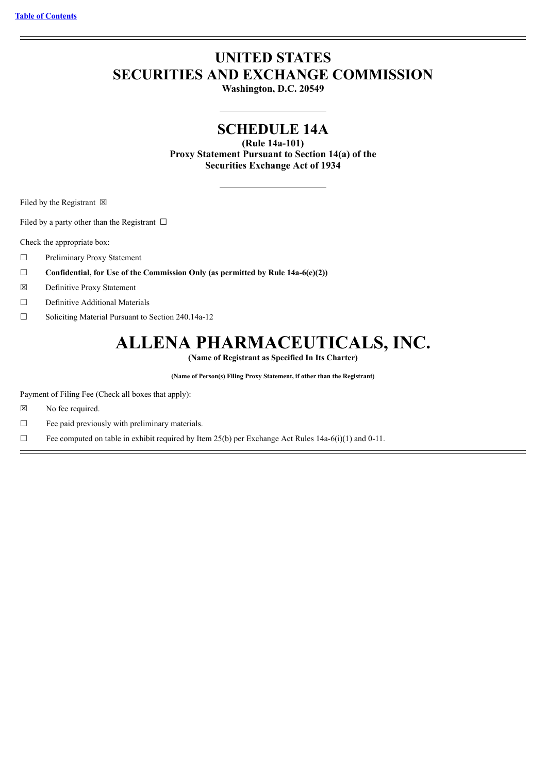# **UNITED STATES SECURITIES AND EXCHANGE COMMISSION**

**Washington, D.C. 20549**

# **SCHEDULE 14A**

**(Rule 14a-101) Proxy Statement Pursuant to Section 14(a) of the Securities Exchange Act of 1934**

Filed by the Registrant  $\boxtimes$ 

Filed by a party other than the Registrant  $\Box$ 

Check the appropriate box:

- ☐ Preliminary Proxy Statement
- ☐ **Confidential, for Use of the Commission Only (as permitted by Rule 14a-6(e)(2))**
- ☒ Definitive Proxy Statement
- ☐ Definitive Additional Materials
- ☐ Soliciting Material Pursuant to Section 240.14a-12

# **ALLENA PHARMACEUTICALS, INC.**

**(Name of Registrant as Specified In Its Charter)**

**(Name of Person(s) Filing Proxy Statement, if other than the Registrant)**

Payment of Filing Fee (Check all boxes that apply):

- ☒ No fee required.
- ☐ Fee paid previously with preliminary materials.

 $\Box$  Fee computed on table in exhibit required by Item 25(b) per Exchange Act Rules 14a-6(i)(1) and 0-11.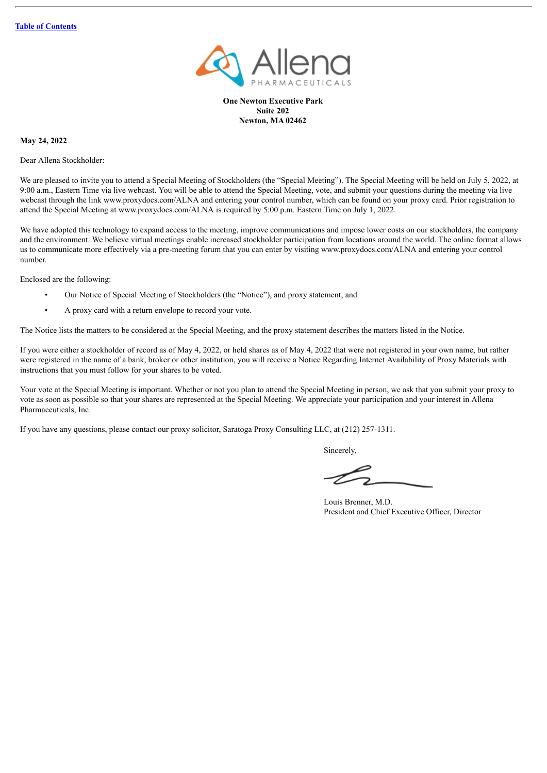

**One Newton Executive Park Suite 202 Newton, MA 02462**

**May 24, 2022**

Dear Allena Stockholder:

We are pleased to invite you to attend a Special Meeting of Stockholders (the "Special Meeting"). The Special Meeting will be held on July 5, 2022, at 9:00 a.m., Eastern Time via live webcast. You will be able to attend the Special Meeting, vote, and submit your questions during the meeting via live webcast through the link www.proxydocs.com/ALNA and entering your control number, which can be found on your proxy card. Prior registration to attend the Special Meeting at www.proxydocs.com/ALNA is required by 5:00 p.m. Eastern Time on July 1, 2022.

We have adopted this technology to expand access to the meeting, improve communications and impose lower costs on our stockholders, the company and the environment. We believe virtual meetings enable increased stockholder participation from locations around the world. The online format allows us to communicate more effectively via a pre-meeting forum that you can enter by visiting www.proxydocs.com/ALNA and entering your control number.

Enclosed are the following:

- Our Notice of Special Meeting of Stockholders (the "Notice"), and proxy statement; and
- A proxy card with a return envelope to record your vote.

The Notice lists the matters to be considered at the Special Meeting, and the proxy statement describes the matters listed in the Notice.

If you were either a stockholder of record as of May 4, 2022, or held shares as of May 4, 2022 that were not registered in your own name, but rather were registered in the name of a bank, broker or other institution, you will receive a Notice Regarding Internet Availability of Proxy Materials with instructions that you must follow for your shares to be voted.

Your vote at the Special Meeting is important. Whether or not you plan to attend the Special Meeting in person, we ask that you submit your proxy to vote as soon as possible so that your shares are represented at the Special Meeting. We appreciate your participation and your interest in Allena Pharmaceuticals, Inc.

If you have any questions, please contact our proxy solicitor, Saratoga Proxy Consulting LLC, at (212) 257-1311.

Sincerely,

Louis Brenner, M.D. President and Chief Executive Officer, Director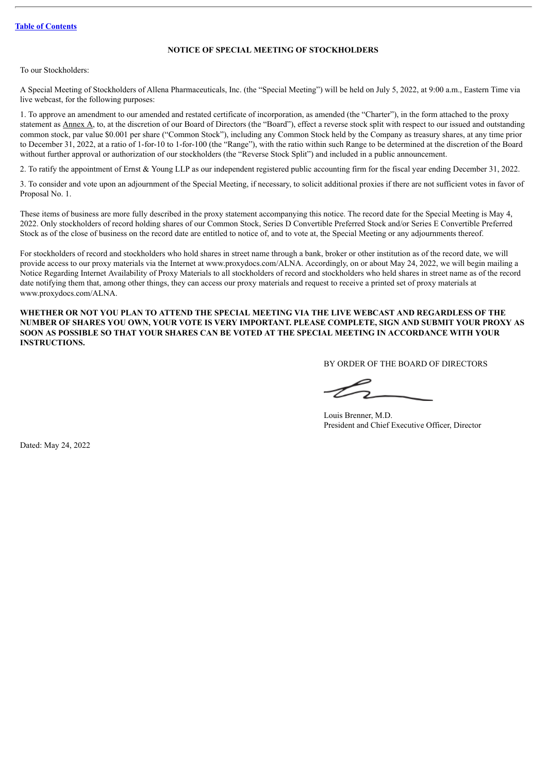# **NOTICE OF SPECIAL MEETING OF STOCKHOLDERS**

To our Stockholders:

A Special Meeting of Stockholders of Allena Pharmaceuticals, Inc. (the "Special Meeting") will be held on July 5, 2022, at 9:00 a.m., Eastern Time via live webcast, for the following purposes:

1. To approve an amendment to our amended and restated certificate of incorporation, as amended (the "Charter"), in the form attached to the proxy statement as  $\Delta$  at the discretion of our Board of Directors (the "Board"), effect a reverse stock split with respect to our issued and outstanding common stock, par value \$0.001 per share ("Common Stock"), including any Common Stock held by the Company as treasury shares, at any time prior to December 31, 2022, at a ratio of 1-for-10 to 1-for-100 (the "Range"), with the ratio within such Range to be determined at the discretion of the Board without further approval or authorization of our stockholders (the "Reverse Stock Split") and included in a public announcement.

2. To ratify the appointment of Ernst & Young LLP as our independent registered public accounting firm for the fiscal year ending December 31, 2022.

3. To consider and vote upon an adjournment of the Special Meeting, if necessary, to solicit additional proxies if there are not sufficient votes in favor of Proposal No. 1.

These items of business are more fully described in the proxy statement accompanying this notice. The record date for the Special Meeting is May 4, 2022. Only stockholders of record holding shares of our Common Stock, Series D Convertible Preferred Stock and/or Series E Convertible Preferred Stock as of the close of business on the record date are entitled to notice of, and to vote at, the Special Meeting or any adjournments thereof.

For stockholders of record and stockholders who hold shares in street name through a bank, broker or other institution as of the record date, we will provide access to our proxy materials via the Internet at www.proxydocs.com/ALNA. Accordingly, on or about May 24, 2022, we will begin mailing a Notice Regarding Internet Availability of Proxy Materials to all stockholders of record and stockholders who held shares in street name as of the record date notifying them that, among other things, they can access our proxy materials and request to receive a printed set of proxy materials at www.proxydocs.com/ALNA.

**WHETHER OR NOT YOU PLAN TO ATTEND THE SPECIAL MEETING VIA THE LIVE WEBCAST AND REGARDLESS OF THE** NUMBER OF SHARES YOU OWN, YOUR VOTE IS VERY IMPORTANT. PLEASE COMPLETE, SIGN AND SUBMIT YOUR PROXY AS **SOON AS POSSIBLE SO THAT YOUR SHARES CAN BE VOTED AT THE SPECIAL MEETING IN ACCORDANCE WITH YOUR INSTRUCTIONS.**

BY ORDER OF THE BOARD OF DIRECTORS

Louis Brenner, M.D. President and Chief Executive Officer, Director

Dated: May 24, 2022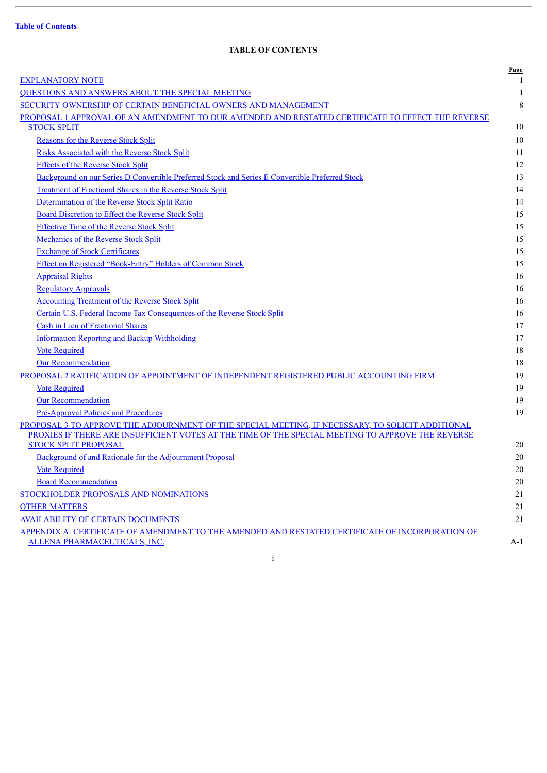$\overline{a}$ 

# **TABLE OF CONTENTS**

<span id="page-3-0"></span>

|                                                                                                   | Page        |
|---------------------------------------------------------------------------------------------------|-------------|
| <b>EXPLANATORY NOTE</b>                                                                           | 1           |
| QUESTIONS AND ANSWERS ABOUT THE SPECIAL MEETING                                                   | 1           |
| SECURITY OWNERSHIP OF CERTAIN BENEFICIAL OWNERS AND MANAGEMENT                                    | $\,$ 8 $\,$ |
| PROPOSAL 1 APPROVAL OF AN AMENDMENT TO OUR AMENDED AND RESTATED CERTIFICATE TO EFFECT THE REVERSE | 10          |
| <b>STOCK SPLIT</b>                                                                                |             |
| <b>Reasons for the Reverse Stock Split</b>                                                        | 10          |
| <b>Risks Associated with the Reverse Stock Split</b>                                              | 11          |
| <b>Effects of the Reverse Stock Split</b>                                                         | 12          |
| Background on our Series D Convertible Preferred Stock and Series E Convertible Preferred Stock   | 13          |
| <b>Treatment of Fractional Shares in the Reverse Stock Split</b>                                  | 14          |
| Determination of the Reverse Stock Split Ratio                                                    | 14          |
| Board Discretion to Effect the Reverse Stock Split                                                | 15          |
| <b>Effective Time of the Reverse Stock Split</b>                                                  | 15          |
| Mechanics of the Reverse Stock Split                                                              | 15          |
| <b>Exchange of Stock Certificates</b>                                                             | 15          |
| Effect on Registered "Book-Entry" Holders of Common Stock                                         | 15          |
| <b>Appraisal Rights</b>                                                                           | 16          |
| <b>Regulatory Approvals</b>                                                                       | 16          |
| <b>Accounting Treatment of the Reverse Stock Split</b>                                            | 16          |
| Certain U.S. Federal Income Tax Consequences of the Reverse Stock Split                           | 16          |
| Cash in Lieu of Fractional Shares                                                                 | 17          |
| <b>Information Reporting and Backup Withholding</b>                                               | 17          |
| <b>Vote Required</b>                                                                              | 18          |
| <b>Our Recommendation</b>                                                                         | 18          |
| PROPOSAL 2 RATIFICATION OF APPOINTMENT OF INDEPENDENT REGISTERED PUBLIC ACCOUNTING FIRM           | 19          |
| <b>Vote Required</b>                                                                              | 19          |
| <b>Our Recommendation</b>                                                                         | 19          |
| <b>Pre-Approval Policies and Procedures</b>                                                       | 19          |
| PROPOSAL 3 TO APPROVE THE ADJOURNMENT OF THE SPECIAL MEETING, IF NECESSARY, TO SOLICIT ADDITIONAL |             |
| PROXIES IF THERE ARE INSUFFICIENT VOTES AT THE TIME OF THE SPECIAL MEETING TO APPROVE THE REVERSE |             |
| <b>STOCK SPLIT PROPOSAL</b>                                                                       | 20          |
| Background of and Rationale for the Adjournment Proposal                                          | 20          |
| <b>Vote Required</b>                                                                              | 20          |
| <b>Board Recommendation</b>                                                                       | $20\,$      |
| STOCKHOLDER PROPOSALS AND NOMINATIONS                                                             | 21          |
| <b>OTHER MATTERS</b>                                                                              | 21          |
| <b>AVAILABILITY OF CERTAIN DOCUMENTS</b>                                                          | 21          |
| APPENDIX A: CERTIFICATE OF AMENDMENT TO THE AMENDED AND RESTATED CERTIFICATE OF INCORPORATION OF  |             |
| ALLENA PHARMACEUTICALS, INC.                                                                      | A-1         |

i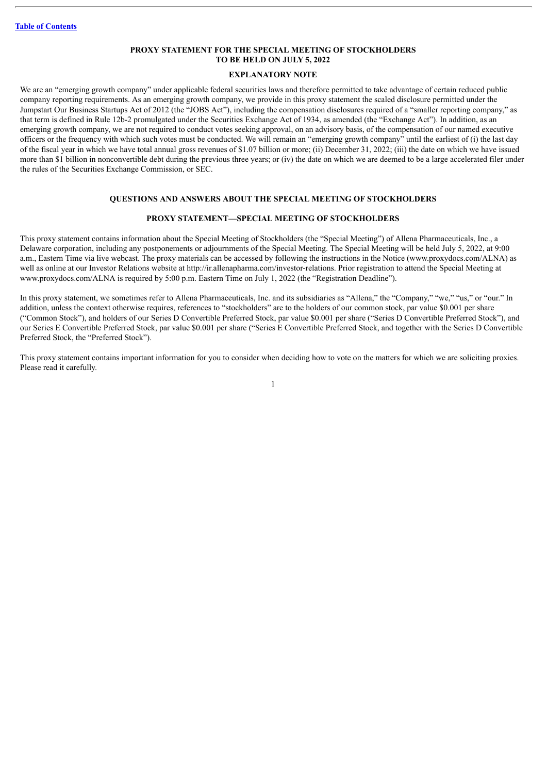# **PROXY STATEMENT FOR THE SPECIAL MEETING OF STOCKHOLDERS TO BE HELD ON JULY 5, 2022**

# **EXPLANATORY NOTE**

<span id="page-4-0"></span>We are an "emerging growth company" under applicable federal securities laws and therefore permitted to take advantage of certain reduced public company reporting requirements. As an emerging growth company, we provide in this proxy statement the scaled disclosure permitted under the Jumpstart Our Business Startups Act of 2012 (the "JOBS Act"), including the compensation disclosures required of a "smaller reporting company," as that term is defined in Rule 12b-2 promulgated under the Securities Exchange Act of 1934, as amended (the "Exchange Act"). In addition, as an emerging growth company, we are not required to conduct votes seeking approval, on an advisory basis, of the compensation of our named executive officers or the frequency with which such votes must be conducted. We will remain an "emerging growth company" until the earliest of (i) the last day of the fiscal year in which we have total annual gross revenues of \$1.07 billion or more; (ii) December 31, 2022; (iii) the date on which we have issued more than \$1 billion in nonconvertible debt during the previous three years; or (iv) the date on which we are deemed to be a large accelerated filer under the rules of the Securities Exchange Commission, or SEC.

# **QUESTIONS AND ANSWERS ABOUT THE SPECIAL MEETING OF STOCKHOLDERS**

#### **PROXY STATEMENT—SPECIAL MEETING OF STOCKHOLDERS**

<span id="page-4-1"></span>This proxy statement contains information about the Special Meeting of Stockholders (the "Special Meeting") of Allena Pharmaceuticals, Inc., a Delaware corporation, including any postponements or adjournments of the Special Meeting. The Special Meeting will be held July 5, 2022, at 9:00 a.m., Eastern Time via live webcast. The proxy materials can be accessed by following the instructions in the Notice (www.proxydocs.com/ALNA) as well as online at our Investor Relations website at http://ir.allenapharma.com/investor-relations. Prior registration to attend the Special Meeting at www.proxydocs.com/ALNA is required by 5:00 p.m. Eastern Time on July 1, 2022 (the "Registration Deadline").

In this proxy statement, we sometimes refer to Allena Pharmaceuticals, Inc. and its subsidiaries as "Allena," the "Company," "we," "us," or "our." In addition, unless the context otherwise requires, references to "stockholders" are to the holders of our common stock, par value \$0.001 per share ("Common Stock"), and holders of our Series D Convertible Preferred Stock, par value \$0.001 per share ("Series D Convertible Preferred Stock"), and our Series E Convertible Preferred Stock, par value \$0.001 per share ("Series E Convertible Preferred Stock, and together with the Series D Convertible Preferred Stock, the "Preferred Stock").

This proxy statement contains important information for you to consider when deciding how to vote on the matters for which we are soliciting proxies. Please read it carefully.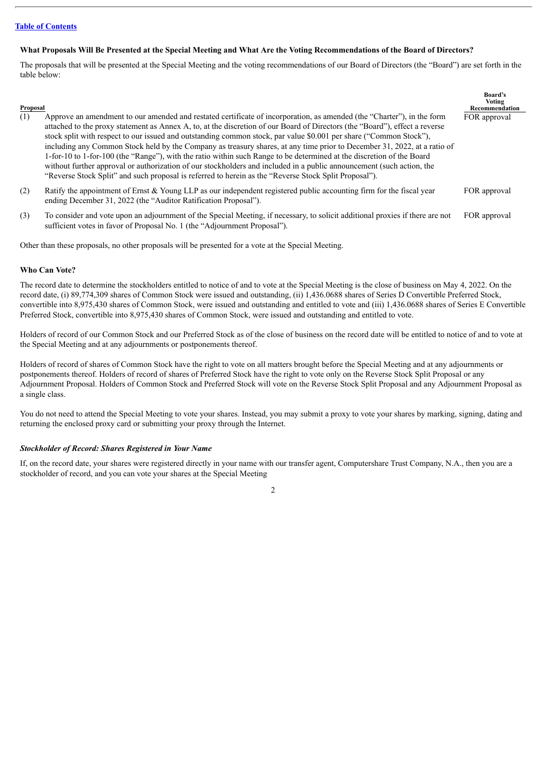# What Proposals Will Be Presented at the Special Meeting and What Are the Voting Recommendations of the Board of Directors?

The proposals that will be presented at the Special Meeting and the voting recommendations of our Board of Directors (the "Board") are set forth in the table below:

| Proposal |                                                                                                                                                                                                                                                                                                                                                                                                                                                                                                                                                                                                                                                                                                                                                                                                                                                                    | <b>Board's</b><br>Voting<br>Recommendation |
|----------|--------------------------------------------------------------------------------------------------------------------------------------------------------------------------------------------------------------------------------------------------------------------------------------------------------------------------------------------------------------------------------------------------------------------------------------------------------------------------------------------------------------------------------------------------------------------------------------------------------------------------------------------------------------------------------------------------------------------------------------------------------------------------------------------------------------------------------------------------------------------|--------------------------------------------|
| (1)      | Approve an amendment to our amended and restated certificate of incorporation, as amended (the "Charter"), in the form<br>attached to the proxy statement as Annex A, to, at the discretion of our Board of Directors (the "Board"), effect a reverse<br>stock split with respect to our issued and outstanding common stock, par value \$0.001 per share ("Common Stock"),<br>including any Common Stock held by the Company as treasury shares, at any time prior to December 31, 2022, at a ratio of<br>1-for-10 to 1-for-100 (the "Range"), with the ratio within such Range to be determined at the discretion of the Board<br>without further approval or authorization of our stockholders and included in a public announcement (such action, the<br>"Reverse Stock Split" and such proposal is referred to herein as the "Reverse Stock Split Proposal"). | FOR approval                               |
| (2)      | Ratify the appointment of Ernst & Young LLP as our independent registered public accounting firm for the fiscal year<br>ending December 31, 2022 (the "Auditor Ratification Proposal").                                                                                                                                                                                                                                                                                                                                                                                                                                                                                                                                                                                                                                                                            | FOR approval                               |

(3) To consider and vote upon an adjournment of the Special Meeting, if necessary, to solicit additional proxies if there are not sufficient votes in favor of Proposal No. 1 (the "Adjournment Proposal"). FOR approval

Other than these proposals, no other proposals will be presented for a vote at the Special Meeting.

#### **Who Can Vote?**

The record date to determine the stockholders entitled to notice of and to vote at the Special Meeting is the close of business on May 4, 2022. On the record date, (i) 89,774,309 shares of Common Stock were issued and outstanding, (ii) 1,436.0688 shares of Series D Convertible Preferred Stock, convertible into 8,975,430 shares of Common Stock, were issued and outstanding and entitled to vote and (iii) 1,436.0688 shares of Series E Convertible Preferred Stock, convertible into 8,975,430 shares of Common Stock, were issued and outstanding and entitled to vote.

Holders of record of our Common Stock and our Preferred Stock as of the close of business on the record date will be entitled to notice of and to vote at the Special Meeting and at any adjournments or postponements thereof.

Holders of record of shares of Common Stock have the right to vote on all matters brought before the Special Meeting and at any adjournments or postponements thereof. Holders of record of shares of Preferred Stock have the right to vote only on the Reverse Stock Split Proposal or any Adjournment Proposal. Holders of Common Stock and Preferred Stock will vote on the Reverse Stock Split Proposal and any Adjournment Proposal as a single class.

You do not need to attend the Special Meeting to vote your shares. Instead, you may submit a proxy to vote your shares by marking, signing, dating and returning the enclosed proxy card or submitting your proxy through the Internet.

#### *Stockholder of Record: Shares Registered in Your Name*

If, on the record date, your shares were registered directly in your name with our transfer agent, Computershare Trust Company, N.A., then you are a stockholder of record, and you can vote your shares at the Special Meeting

 $\overline{2}$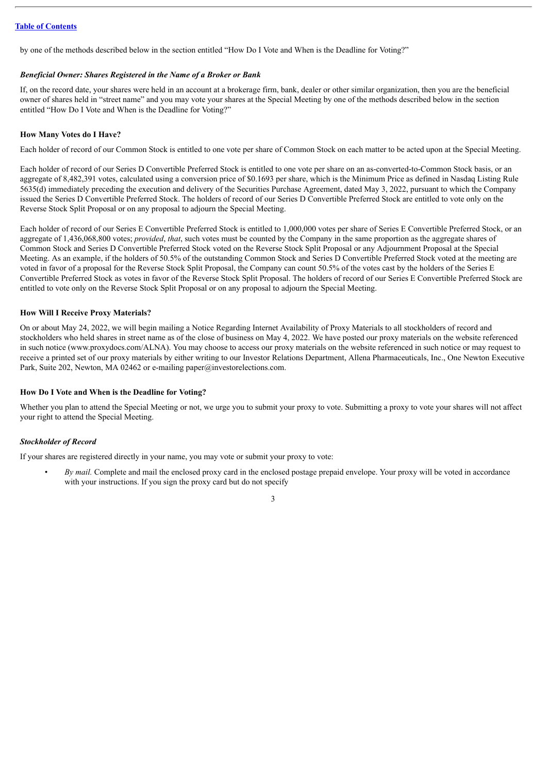by one of the methods described below in the section entitled "How Do I Vote and When is the Deadline for Voting?"

#### *Beneficial Owner: Shares Registered in the Name of a Broker or Bank*

If, on the record date, your shares were held in an account at a brokerage firm, bank, dealer or other similar organization, then you are the beneficial owner of shares held in "street name" and you may vote your shares at the Special Meeting by one of the methods described below in the section entitled "How Do I Vote and When is the Deadline for Voting?"

# **How Many Votes do I Have?**

Each holder of record of our Common Stock is entitled to one vote per share of Common Stock on each matter to be acted upon at the Special Meeting.

Each holder of record of our Series D Convertible Preferred Stock is entitled to one vote per share on an as-converted-to-Common Stock basis, or an aggregate of 8,482,391 votes, calculated using a conversion price of \$0.1693 per share, which is the Minimum Price as defined in Nasdaq Listing Rule 5635(d) immediately preceding the execution and delivery of the Securities Purchase Agreement, dated May 3, 2022, pursuant to which the Company issued the Series D Convertible Preferred Stock. The holders of record of our Series D Convertible Preferred Stock are entitled to vote only on the Reverse Stock Split Proposal or on any proposal to adjourn the Special Meeting.

Each holder of record of our Series E Convertible Preferred Stock is entitled to 1,000,000 votes per share of Series E Convertible Preferred Stock, or an aggregate of 1,436,068,800 votes; *provided*, *that*, such votes must be counted by the Company in the same proportion as the aggregate shares of Common Stock and Series D Convertible Preferred Stock voted on the Reverse Stock Split Proposal or any Adjournment Proposal at the Special Meeting. As an example, if the holders of 50.5% of the outstanding Common Stock and Series D Convertible Preferred Stock voted at the meeting are voted in favor of a proposal for the Reverse Stock Split Proposal, the Company can count 50.5% of the votes cast by the holders of the Series E Convertible Preferred Stock as votes in favor of the Reverse Stock Split Proposal. The holders of record of our Series E Convertible Preferred Stock are entitled to vote only on the Reverse Stock Split Proposal or on any proposal to adjourn the Special Meeting.

# **How Will I Receive Proxy Materials?**

On or about May 24, 2022, we will begin mailing a Notice Regarding Internet Availability of Proxy Materials to all stockholders of record and stockholders who held shares in street name as of the close of business on May 4, 2022. We have posted our proxy materials on the website referenced in such notice (www.proxydocs.com/ALNA). You may choose to access our proxy materials on the website referenced in such notice or may request to receive a printed set of our proxy materials by either writing to our Investor Relations Department, Allena Pharmaceuticals, Inc., One Newton Executive Park, Suite 202, Newton, MA 02462 or e-mailing paper@investorelections.com.

# **How Do I Vote and When is the Deadline for Voting?**

Whether you plan to attend the Special Meeting or not, we urge you to submit your proxy to vote. Submitting a proxy to vote your shares will not affect your right to attend the Special Meeting.

# *Stockholder of Record*

If your shares are registered directly in your name, you may vote or submit your proxy to vote:

• *By mail.* Complete and mail the enclosed proxy card in the enclosed postage prepaid envelope. Your proxy will be voted in accordance with your instructions. If you sign the proxy card but do not specify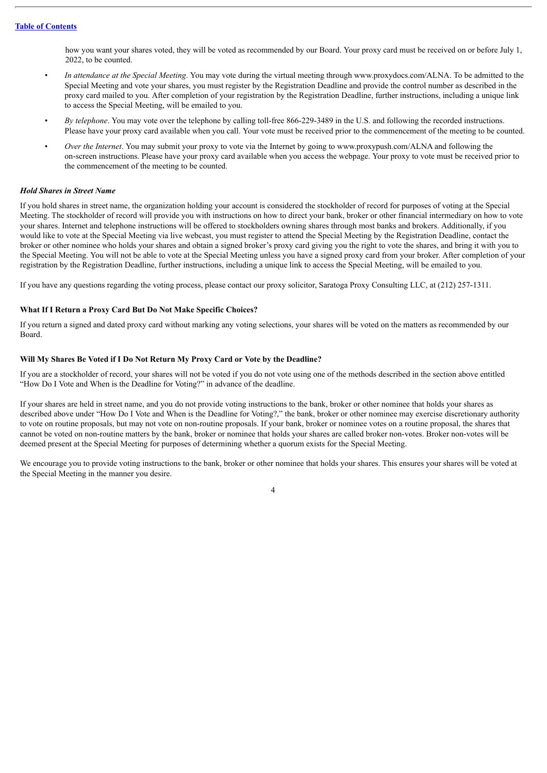how you want your shares voted, they will be voted as recommended by our Board. Your proxy card must be received on or before July 1, 2022, to be counted.

- *In attendance at the Special Meeting*. You may vote during the virtual meeting through www.proxydocs.com/ALNA. To be admitted to the Special Meeting and vote your shares, you must register by the Registration Deadline and provide the control number as described in the proxy card mailed to you. After completion of your registration by the Registration Deadline, further instructions, including a unique link to access the Special Meeting, will be emailed to you.
- *By telephone*. You may vote over the telephone by calling toll-free 866-229-3489 in the U.S. and following the recorded instructions. Please have your proxy card available when you call. Your vote must be received prior to the commencement of the meeting to be counted.
- *Over the Internet*. You may submit your proxy to vote via the Internet by going to www.proxypush.com/ALNA and following the on-screen instructions. Please have your proxy card available when you access the webpage. Your proxy to vote must be received prior to the commencement of the meeting to be counted.

#### *Hold Shares in Street Name*

If you hold shares in street name, the organization holding your account is considered the stockholder of record for purposes of voting at the Special Meeting. The stockholder of record will provide you with instructions on how to direct your bank, broker or other financial intermediary on how to vote your shares. Internet and telephone instructions will be offered to stockholders owning shares through most banks and brokers. Additionally, if you would like to vote at the Special Meeting via live webcast, you must register to attend the Special Meeting by the Registration Deadline, contact the broker or other nominee who holds your shares and obtain a signed broker's proxy card giving you the right to vote the shares, and bring it with you to the Special Meeting. You will not be able to vote at the Special Meeting unless you have a signed proxy card from your broker. After completion of your registration by the Registration Deadline, further instructions, including a unique link to access the Special Meeting, will be emailed to you.

If you have any questions regarding the voting process, please contact our proxy solicitor, Saratoga Proxy Consulting LLC, at (212) 257-1311.

#### **What If I Return a Proxy Card But Do Not Make Specific Choices?**

If you return a signed and dated proxy card without marking any voting selections, your shares will be voted on the matters as recommended by our Board.

#### **Will My Shares Be Voted if I Do Not Return My Proxy Card or Vote by the Deadline?**

If you are a stockholder of record, your shares will not be voted if you do not vote using one of the methods described in the section above entitled "How Do I Vote and When is the Deadline for Voting?" in advance of the deadline.

If your shares are held in street name, and you do not provide voting instructions to the bank, broker or other nominee that holds your shares as described above under "How Do I Vote and When is the Deadline for Voting?," the bank, broker or other nominee may exercise discretionary authority to vote on routine proposals, but may not vote on non-routine proposals. If your bank, broker or nominee votes on a routine proposal, the shares that cannot be voted on non-routine matters by the bank, broker or nominee that holds your shares are called broker non-votes. Broker non-votes will be deemed present at the Special Meeting for purposes of determining whether a quorum exists for the Special Meeting.

We encourage you to provide voting instructions to the bank, broker or other nominee that holds your shares. This ensures your shares will be voted at the Special Meeting in the manner you desire.

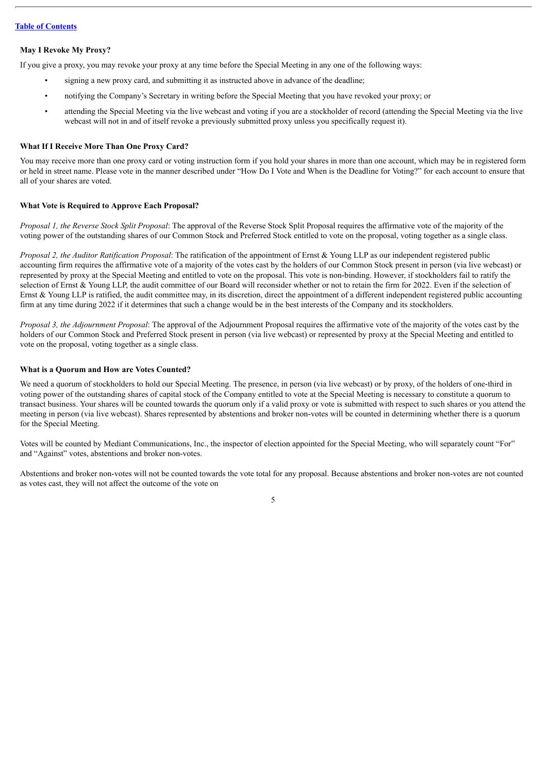# **May I Revoke My Proxy?**

If you give a proxy, you may revoke your proxy at any time before the Special Meeting in any one of the following ways:

- signing a new proxy card, and submitting it as instructed above in advance of the deadline;
- notifying the Company's Secretary in writing before the Special Meeting that you have revoked your proxy; or
- attending the Special Meeting via the live webcast and voting if you are a stockholder of record (attending the Special Meeting via the live webcast will not in and of itself revoke a previously submitted proxy unless you specifically request it).

#### **What If I Receive More Than One Proxy Card?**

You may receive more than one proxy card or voting instruction form if you hold your shares in more than one account, which may be in registered form or held in street name. Please vote in the manner described under "How Do I Vote and When is the Deadline for Voting?" for each account to ensure that all of your shares are voted.

#### **What Vote is Required to Approve Each Proposal?**

*Proposal 1, the Reverse Stock Split Proposal*: The approval of the Reverse Stock Split Proposal requires the affirmative vote of the majority of the voting power of the outstanding shares of our Common Stock and Preferred Stock entitled to vote on the proposal, voting together as a single class.

*Proposal 2, the Auditor Ratification Proposal*: The ratification of the appointment of Ernst & Young LLP as our independent registered public accounting firm requires the affirmative vote of a majority of the votes cast by the holders of our Common Stock present in person (via live webcast) or represented by proxy at the Special Meeting and entitled to vote on the proposal. This vote is non-binding. However, if stockholders fail to ratify the selection of Ernst & Young LLP, the audit committee of our Board will reconsider whether or not to retain the firm for 2022. Even if the selection of Ernst & Young LLP is ratified, the audit committee may, in its discretion, direct the appointment of a different independent registered public accounting firm at any time during 2022 if it determines that such a change would be in the best interests of the Company and its stockholders.

*Proposal 3, the Adjournment Proposal*: The approval of the Adjournment Proposal requires the affirmative vote of the majority of the votes cast by the holders of our Common Stock and Preferred Stock present in person (via live webcast) or represented by proxy at the Special Meeting and entitled to vote on the proposal, voting together as a single class.

#### **What is a Quorum and How are Votes Counted?**

We need a quorum of stockholders to hold our Special Meeting. The presence, in person (via live webcast) or by proxy, of the holders of one-third in voting power of the outstanding shares of capital stock of the Company entitled to vote at the Special Meeting is necessary to constitute a quorum to transact business. Your shares will be counted towards the quorum only if a valid proxy or vote is submitted with respect to such shares or you attend the meeting in person (via live webcast). Shares represented by abstentions and broker non-votes will be counted in determining whether there is a quorum for the Special Meeting.

Votes will be counted by Mediant Communications, Inc., the inspector of election appointed for the Special Meeting, who will separately count "For" and "Against" votes, abstentions and broker non-votes.

Abstentions and broker non-votes will not be counted towards the vote total for any proposal. Because abstentions and broker non-votes are not counted as votes cast, they will not affect the outcome of the vote on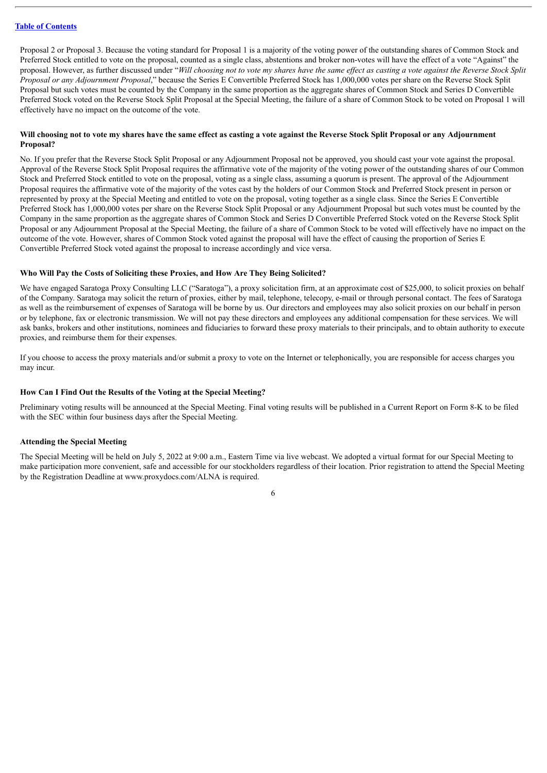Proposal 2 or Proposal 3. Because the voting standard for Proposal 1 is a majority of the voting power of the outstanding shares of Common Stock and Preferred Stock entitled to vote on the proposal, counted as a single class, abstentions and broker non-votes will have the effect of a vote "Against" the proposal. However, as further discussed under "Will choosing not to vote my shares have the same effect as casting a vote against the Reverse Stock Split *Proposal or any Adjournment Proposal*," because the Series E Convertible Preferred Stock has 1,000,000 votes per share on the Reverse Stock Split Proposal but such votes must be counted by the Company in the same proportion as the aggregate shares of Common Stock and Series D Convertible Preferred Stock voted on the Reverse Stock Split Proposal at the Special Meeting, the failure of a share of Common Stock to be voted on Proposal 1 will effectively have no impact on the outcome of the vote.

# Will choosing not to vote my shares have the same effect as casting a vote against the Reverse Stock Split Proposal or any Adjournment **Proposal?**

No. If you prefer that the Reverse Stock Split Proposal or any Adjournment Proposal not be approved, you should cast your vote against the proposal. Approval of the Reverse Stock Split Proposal requires the affirmative vote of the majority of the voting power of the outstanding shares of our Common Stock and Preferred Stock entitled to vote on the proposal, voting as a single class, assuming a quorum is present. The approval of the Adjournment Proposal requires the affirmative vote of the majority of the votes cast by the holders of our Common Stock and Preferred Stock present in person or represented by proxy at the Special Meeting and entitled to vote on the proposal, voting together as a single class. Since the Series E Convertible Preferred Stock has 1,000,000 votes per share on the Reverse Stock Split Proposal or any Adjournment Proposal but such votes must be counted by the Company in the same proportion as the aggregate shares of Common Stock and Series D Convertible Preferred Stock voted on the Reverse Stock Split Proposal or any Adjournment Proposal at the Special Meeting, the failure of a share of Common Stock to be voted will effectively have no impact on the outcome of the vote. However, shares of Common Stock voted against the proposal will have the effect of causing the proportion of Series E Convertible Preferred Stock voted against the proposal to increase accordingly and vice versa.

#### **Who Will Pay the Costs of Soliciting these Proxies, and How Are They Being Solicited?**

We have engaged Saratoga Proxy Consulting LLC ("Saratoga"), a proxy solicitation firm, at an approximate cost of \$25,000, to solicit proxies on behalf of the Company. Saratoga may solicit the return of proxies, either by mail, telephone, telecopy, e-mail or through personal contact. The fees of Saratoga as well as the reimbursement of expenses of Saratoga will be borne by us. Our directors and employees may also solicit proxies on our behalf in person or by telephone, fax or electronic transmission. We will not pay these directors and employees any additional compensation for these services. We will ask banks, brokers and other institutions, nominees and fiduciaries to forward these proxy materials to their principals, and to obtain authority to execute proxies, and reimburse them for their expenses.

If you choose to access the proxy materials and/or submit a proxy to vote on the Internet or telephonically, you are responsible for access charges you may incur.

#### **How Can I Find Out the Results of the Voting at the Special Meeting?**

Preliminary voting results will be announced at the Special Meeting. Final voting results will be published in a Current Report on Form 8-K to be filed with the SEC within four business days after the Special Meeting.

#### **Attending the Special Meeting**

The Special Meeting will be held on July 5, 2022 at 9:00 a.m., Eastern Time via live webcast. We adopted a virtual format for our Special Meeting to make participation more convenient, safe and accessible for our stockholders regardless of their location. Prior registration to attend the Special Meeting by the Registration Deadline at www.proxydocs.com/ALNA is required.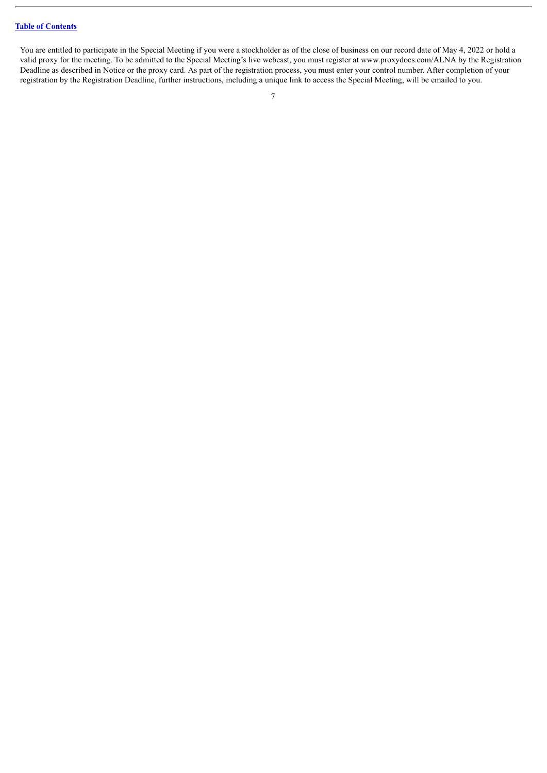You are entitled to participate in the Special Meeting if you were a stockholder as of the close of business on our record date of May 4, 2022 or hold a valid proxy for the meeting. To be admitted to the Special Meeting's live webcast, you must register at www.proxydocs.com/ALNA by the Registration Deadline as described in Notice or the proxy card. As part of the registration process, you must enter your control number. After completion of your registration by the Registration Deadline, further instructions, including a unique link to access the Special Meeting, will be emailed to you.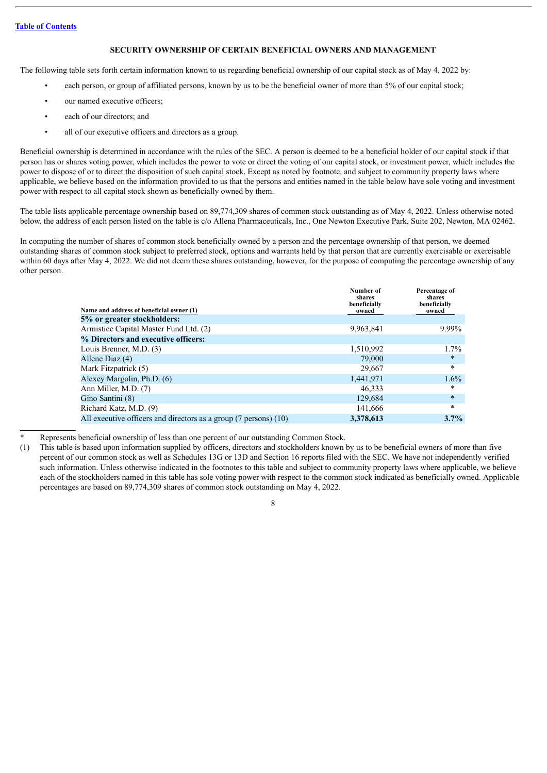# **SECURITY OWNERSHIP OF CERTAIN BENEFICIAL OWNERS AND MANAGEMENT**

<span id="page-11-0"></span>The following table sets forth certain information known to us regarding beneficial ownership of our capital stock as of May 4, 2022 by:

- each person, or group of affiliated persons, known by us to be the beneficial owner of more than 5% of our capital stock;
- our named executive officers:
- each of our directors; and
- all of our executive officers and directors as a group.

Beneficial ownership is determined in accordance with the rules of the SEC. A person is deemed to be a beneficial holder of our capital stock if that person has or shares voting power, which includes the power to vote or direct the voting of our capital stock, or investment power, which includes the power to dispose of or to direct the disposition of such capital stock. Except as noted by footnote, and subject to community property laws where applicable, we believe based on the information provided to us that the persons and entities named in the table below have sole voting and investment power with respect to all capital stock shown as beneficially owned by them.

The table lists applicable percentage ownership based on 89,774,309 shares of common stock outstanding as of May 4, 2022. Unless otherwise noted below, the address of each person listed on the table is c/o Allena Pharmaceuticals, Inc., One Newton Executive Park, Suite 202, Newton, MA 02462.

In computing the number of shares of common stock beneficially owned by a person and the percentage ownership of that person, we deemed outstanding shares of common stock subject to preferred stock, options and warrants held by that person that are currently exercisable or exercisable within 60 days after May 4, 2022. We did not deem these shares outstanding, however, for the purpose of computing the percentage ownership of any other person.

| Name and address of beneficial owner (1)                         | Number of<br>shares<br>beneficially<br>owned | Percentage of<br>shares<br>beneficially<br>owned |
|------------------------------------------------------------------|----------------------------------------------|--------------------------------------------------|
| 5% or greater stockholders:                                      |                                              |                                                  |
| Armistice Capital Master Fund Ltd. (2)                           | 9,963,841                                    | 9.99%                                            |
| % Directors and executive officers:                              |                                              |                                                  |
| Louis Brenner, M.D. (3)                                          | 1,510,992                                    | 1.7%                                             |
| Allene Diaz (4)                                                  | 79,000                                       | $\ast$                                           |
| Mark Fitzpatrick (5)                                             | 29,667                                       | $\ast$                                           |
| Alexey Margolin, Ph.D. (6)                                       | 1,441,971                                    | $1.6\%$                                          |
| Ann Miller, M.D. (7)                                             | 46,333                                       | $\ast$                                           |
| Gino Santini (8)                                                 | 129,684                                      | $\ast$                                           |
| Richard Katz, M.D. (9)                                           | 141,666                                      | $\ast$                                           |
| All executive officers and directors as a group (7 persons) (10) | 3,378,613                                    | 3.7%                                             |

- Represents beneficial ownership of less than one percent of our outstanding Common Stock.
- (1) This table is based upon information supplied by officers, directors and stockholders known by us to be beneficial owners of more than five percent of our common stock as well as Schedules 13G or 13D and Section 16 reports filed with the SEC. We have not independently verified such information. Unless otherwise indicated in the footnotes to this table and subject to community property laws where applicable, we believe each of the stockholders named in this table has sole voting power with respect to the common stock indicated as beneficially owned. Applicable percentages are based on 89,774,309 shares of common stock outstanding on May 4, 2022.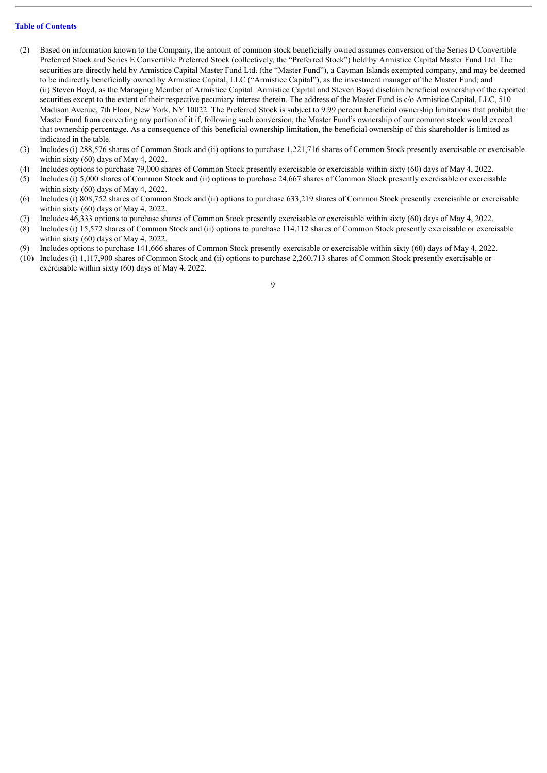- (2) Based on information known to the Company, the amount of common stock beneficially owned assumes conversion of the Series D Convertible Preferred Stock and Series E Convertible Preferred Stock (collectively, the "Preferred Stock") held by Armistice Capital Master Fund Ltd. The securities are directly held by Armistice Capital Master Fund Ltd. (the "Master Fund"), a Cayman Islands exempted company, and may be deemed to be indirectly beneficially owned by Armistice Capital, LLC ("Armistice Capital"), as the investment manager of the Master Fund; and (ii) Steven Boyd, as the Managing Member of Armistice Capital. Armistice Capital and Steven Boyd disclaim beneficial ownership of the reported securities except to the extent of their respective pecuniary interest therein. The address of the Master Fund is  $c/o$  Armistice Capital, LLC, 510 Madison Avenue, 7th Floor, New York, NY 10022. The Preferred Stock is subject to 9.99 percent beneficial ownership limitations that prohibit the Master Fund from converting any portion of it if, following such conversion, the Master Fund's ownership of our common stock would exceed that ownership percentage. As a consequence of this beneficial ownership limitation, the beneficial ownership of this shareholder is limited as indicated in the table.
- (3) Includes (i) 288,576 shares of Common Stock and (ii) options to purchase 1,221,716 shares of Common Stock presently exercisable or exercisable within sixty (60) days of May 4, 2022.
- (4) Includes options to purchase 79,000 shares of Common Stock presently exercisable or exercisable within sixty (60) days of May 4, 2022.
- (5) Includes (i) 5,000 shares of Common Stock and (ii) options to purchase 24,667 shares of Common Stock presently exercisable or exercisable within sixty (60) days of May 4, 2022.
- (6) Includes (i) 808,752 shares of Common Stock and (ii) options to purchase 633,219 shares of Common Stock presently exercisable or exercisable within sixty (60) days of May 4, 2022.
- (7) Includes 46,333 options to purchase shares of Common Stock presently exercisable or exercisable within sixty (60) days of May 4, 2022.
- (8) Includes (i) 15,572 shares of Common Stock and (ii) options to purchase 114,112 shares of Common Stock presently exercisable or exercisable within sixty (60) days of May 4, 2022.
- (9) Includes options to purchase 141,666 shares of Common Stock presently exercisable or exercisable within sixty (60) days of May 4, 2022.
- (10) Includes (i) 1,117,900 shares of Common Stock and (ii) options to purchase 2,260,713 shares of Common Stock presently exercisable or exercisable within sixty (60) days of May 4, 2022.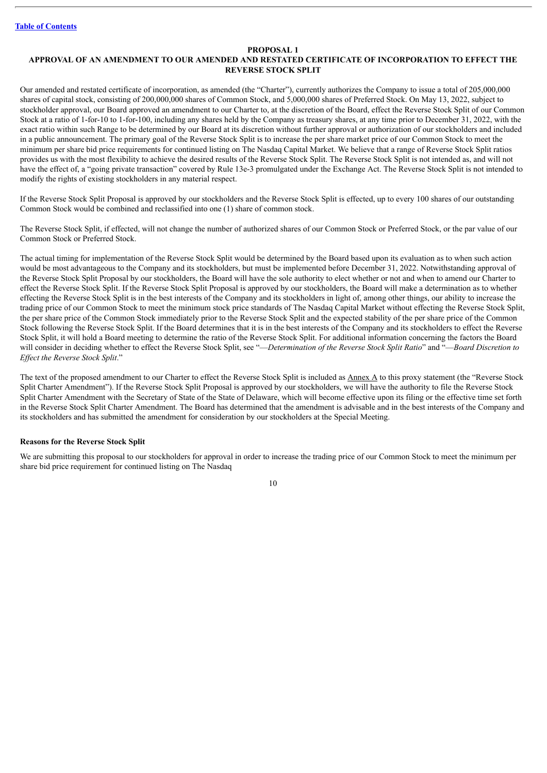#### **PROPOSAL 1**

# <span id="page-13-0"></span>**APPROVAL OF AN AMENDMENT TO OUR AMENDED AND RESTATED CERTIFICATE OF INCORPORATION TO EFFECT THE REVERSE STOCK SPLIT**

Our amended and restated certificate of incorporation, as amended (the "Charter"), currently authorizes the Company to issue a total of 205,000,000 shares of capital stock, consisting of 200,000,000 shares of Common Stock, and 5,000,000 shares of Preferred Stock. On May 13, 2022, subject to stockholder approval, our Board approved an amendment to our Charter to, at the discretion of the Board, effect the Reverse Stock Split of our Common Stock at a ratio of 1-for-10 to 1-for-100, including any shares held by the Company as treasury shares, at any time prior to December 31, 2022, with the exact ratio within such Range to be determined by our Board at its discretion without further approval or authorization of our stockholders and included in a public announcement. The primary goal of the Reverse Stock Split is to increase the per share market price of our Common Stock to meet the minimum per share bid price requirements for continued listing on The Nasdaq Capital Market. We believe that a range of Reverse Stock Split ratios provides us with the most flexibility to achieve the desired results of the Reverse Stock Split. The Reverse Stock Split is not intended as, and will not have the effect of, a "going private transaction" covered by Rule 13e-3 promulgated under the Exchange Act. The Reverse Stock Split is not intended to modify the rights of existing stockholders in any material respect.

If the Reverse Stock Split Proposal is approved by our stockholders and the Reverse Stock Split is effected, up to every 100 shares of our outstanding Common Stock would be combined and reclassified into one (1) share of common stock.

The Reverse Stock Split, if effected, will not change the number of authorized shares of our Common Stock or Preferred Stock, or the par value of our Common Stock or Preferred Stock.

The actual timing for implementation of the Reverse Stock Split would be determined by the Board based upon its evaluation as to when such action would be most advantageous to the Company and its stockholders, but must be implemented before December 31, 2022. Notwithstanding approval of the Reverse Stock Split Proposal by our stockholders, the Board will have the sole authority to elect whether or not and when to amend our Charter to effect the Reverse Stock Split. If the Reverse Stock Split Proposal is approved by our stockholders, the Board will make a determination as to whether effecting the Reverse Stock Split is in the best interests of the Company and its stockholders in light of, among other things, our ability to increase the trading price of our Common Stock to meet the minimum stock price standards of The Nasdaq Capital Market without effecting the Reverse Stock Split, the per share price of the Common Stock immediately prior to the Reverse Stock Split and the expected stability of the per share price of the Common Stock following the Reverse Stock Split. If the Board determines that it is in the best interests of the Company and its stockholders to effect the Reverse Stock Split, it will hold a Board meeting to determine the ratio of the Reverse Stock Split. For additional information concerning the factors the Board will consider in deciding whether to effect the Reverse Stock Split, see "—*Determination of the Reverse Stock Split Ratio*" and "—*Board Discretion to Ef ect the Reverse Stock Split*."

The text of the proposed amendment to our Charter to effect the Reverse Stock Split is included as **Annex A** to this proxy statement (the "Reverse Stock Split Charter Amendment"). If the Reverse Stock Split Proposal is approved by our stockholders, we will have the authority to file the Reverse Stock Split Charter Amendment with the Secretary of State of the State of Delaware, which will become effective upon its filing or the effective time set forth in the Reverse Stock Split Charter Amendment. The Board has determined that the amendment is advisable and in the best interests of the Company and its stockholders and has submitted the amendment for consideration by our stockholders at the Special Meeting.

#### <span id="page-13-1"></span>**Reasons for the Reverse Stock Split**

We are submitting this proposal to our stockholders for approval in order to increase the trading price of our Common Stock to meet the minimum per share bid price requirement for continued listing on The Nasdaq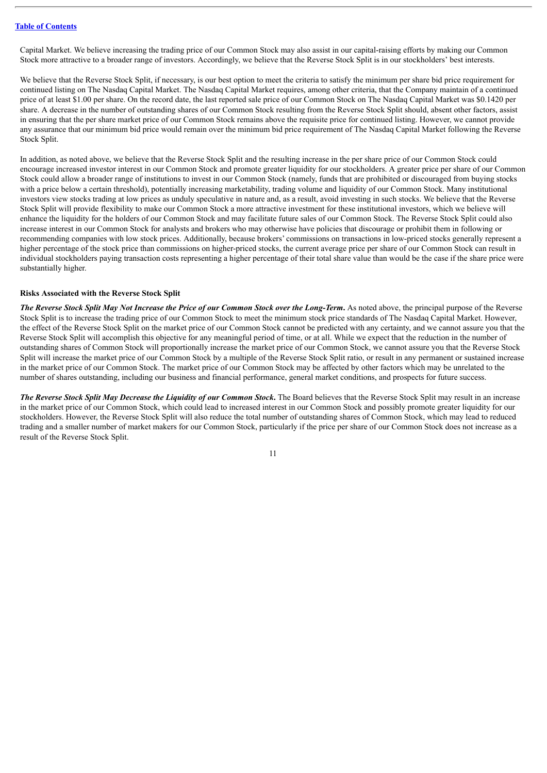Capital Market. We believe increasing the trading price of our Common Stock may also assist in our capital-raising efforts by making our Common Stock more attractive to a broader range of investors. Accordingly, we believe that the Reverse Stock Split is in our stockholders' best interests.

We believe that the Reverse Stock Split, if necessary, is our best option to meet the criteria to satisfy the minimum per share bid price requirement for continued listing on The Nasdaq Capital Market. The Nasdaq Capital Market requires, among other criteria, that the Company maintain of a continued price of at least \$1.00 per share. On the record date, the last reported sale price of our Common Stock on The Nasdaq Capital Market was \$0.1420 per share. A decrease in the number of outstanding shares of our Common Stock resulting from the Reverse Stock Split should, absent other factors, assist in ensuring that the per share market price of our Common Stock remains above the requisite price for continued listing. However, we cannot provide any assurance that our minimum bid price would remain over the minimum bid price requirement of The Nasdaq Capital Market following the Reverse Stock Split.

In addition, as noted above, we believe that the Reverse Stock Split and the resulting increase in the per share price of our Common Stock could encourage increased investor interest in our Common Stock and promote greater liquidity for our stockholders. A greater price per share of our Common Stock could allow a broader range of institutions to invest in our Common Stock (namely, funds that are prohibited or discouraged from buying stocks with a price below a certain threshold), potentially increasing marketability, trading volume and liquidity of our Common Stock. Many institutional investors view stocks trading at low prices as unduly speculative in nature and, as a result, avoid investing in such stocks. We believe that the Reverse Stock Split will provide flexibility to make our Common Stock a more attractive investment for these institutional investors, which we believe will enhance the liquidity for the holders of our Common Stock and may facilitate future sales of our Common Stock. The Reverse Stock Split could also increase interest in our Common Stock for analysts and brokers who may otherwise have policies that discourage or prohibit them in following or recommending companies with low stock prices. Additionally, because brokers' commissions on transactions in low-priced stocks generally represent a higher percentage of the stock price than commissions on higher-priced stocks, the current average price per share of our Common Stock can result in individual stockholders paying transaction costs representing a higher percentage of their total share value than would be the case if the share price were substantially higher.

#### <span id="page-14-0"></span>**Risks Associated with the Reverse Stock Split**

The Reverse Stock Split May Not Increase the Price of our Common Stock over the Long-Term. As noted above, the principal purpose of the Reverse Stock Split is to increase the trading price of our Common Stock to meet the minimum stock price standards of The Nasdaq Capital Market. However, the effect of the Reverse Stock Split on the market price of our Common Stock cannot be predicted with any certainty, and we cannot assure you that the Reverse Stock Split will accomplish this objective for any meaningful period of time, or at all. While we expect that the reduction in the number of outstanding shares of Common Stock will proportionally increase the market price of our Common Stock, we cannot assure you that the Reverse Stock Split will increase the market price of our Common Stock by a multiple of the Reverse Stock Split ratio, or result in any permanent or sustained increase in the market price of our Common Stock. The market price of our Common Stock may be affected by other factors which may be unrelated to the number of shares outstanding, including our business and financial performance, general market conditions, and prospects for future success.

The Reverse Stock Split May Decrease the Liquidity of our Common Stock. The Board believes that the Reverse Stock Split may result in an increase in the market price of our Common Stock, which could lead to increased interest in our Common Stock and possibly promote greater liquidity for our stockholders. However, the Reverse Stock Split will also reduce the total number of outstanding shares of Common Stock, which may lead to reduced trading and a smaller number of market makers for our Common Stock, particularly if the price per share of our Common Stock does not increase as a result of the Reverse Stock Split.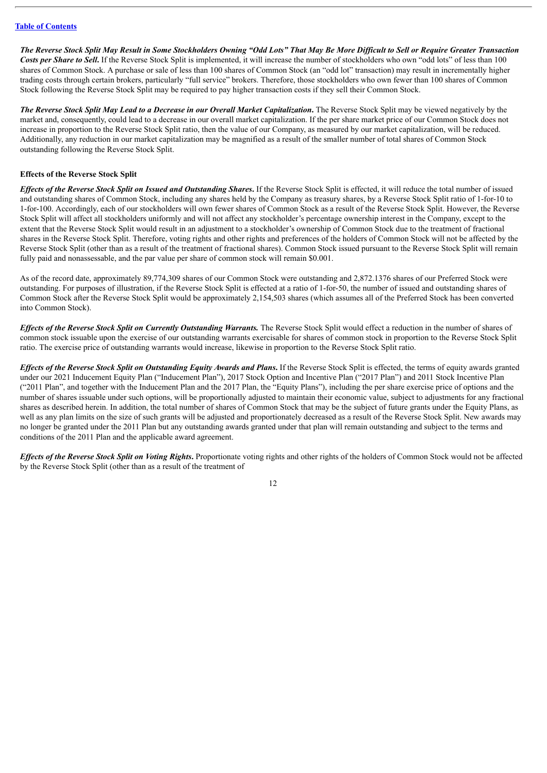The Reverse Stock Split May Result in Some Stockholders Owning "Odd Lots" That May Be More Difficult to Sell or Require Greater Transaction *Costs per Share to Sell***.** If the Reverse Stock Split is implemented, it will increase the number of stockholders who own "odd lots" of less than 100 shares of Common Stock. A purchase or sale of less than 100 shares of Common Stock (an "odd lot" transaction) may result in incrementally higher trading costs through certain brokers, particularly "full service" brokers. Therefore, those stockholders who own fewer than 100 shares of Common Stock following the Reverse Stock Split may be required to pay higher transaction costs if they sell their Common Stock.

The Reverse Stock Split May Lead to a Decrease in our Overall Market Capitalization. The Reverse Stock Split may be viewed negatively by the market and, consequently, could lead to a decrease in our overall market capitalization. If the per share market price of our Common Stock does not increase in proportion to the Reverse Stock Split ratio, then the value of our Company, as measured by our market capitalization, will be reduced. Additionally, any reduction in our market capitalization may be magnified as a result of the smaller number of total shares of Common Stock outstanding following the Reverse Stock Split.

#### <span id="page-15-0"></span>**Effects of the Reverse Stock Split**

Effects of the Reverse Stock Split on Issued and Outstanding Shares. If the Reverse Stock Split is effected, it will reduce the total number of issued and outstanding shares of Common Stock, including any shares held by the Company as treasury shares, by a Reverse Stock Split ratio of 1-for-10 to 1-for-100. Accordingly, each of our stockholders will own fewer shares of Common Stock as a result of the Reverse Stock Split. However, the Reverse Stock Split will affect all stockholders uniformly and will not affect any stockholder's percentage ownership interest in the Company, except to the extent that the Reverse Stock Split would result in an adjustment to a stockholder's ownership of Common Stock due to the treatment of fractional shares in the Reverse Stock Split. Therefore, voting rights and other rights and preferences of the holders of Common Stock will not be affected by the Reverse Stock Split (other than as a result of the treatment of fractional shares). Common Stock issued pursuant to the Reverse Stock Split will remain fully paid and nonassessable, and the par value per share of common stock will remain \$0.001.

As of the record date, approximately 89,774,309 shares of our Common Stock were outstanding and 2,872.1376 shares of our Preferred Stock were outstanding. For purposes of illustration, if the Reverse Stock Split is effected at a ratio of 1-for-50, the number of issued and outstanding shares of Common Stock after the Reverse Stock Split would be approximately 2,154,503 shares (which assumes all of the Preferred Stock has been converted into Common Stock).

*Ef ects of the Reverse Stock Split on Currently Outstanding Warrants.* The Reverse Stock Split would effect a reduction in the number of shares of common stock issuable upon the exercise of our outstanding warrants exercisable for shares of common stock in proportion to the Reverse Stock Split ratio. The exercise price of outstanding warrants would increase, likewise in proportion to the Reverse Stock Split ratio.

Effects of the Reverse Stock Split on Outstanding Equity Awards and Plans. If the Reverse Stock Split is effected, the terms of equity awards granted under our 2021 Inducement Equity Plan ("Inducement Plan"), 2017 Stock Option and Incentive Plan ("2017 Plan") and 2011 Stock Incentive Plan ("2011 Plan", and together with the Inducement Plan and the 2017 Plan, the "Equity Plans"), including the per share exercise price of options and the number of shares issuable under such options, will be proportionally adjusted to maintain their economic value, subject to adjustments for any fractional shares as described herein. In addition, the total number of shares of Common Stock that may be the subject of future grants under the Equity Plans, as well as any plan limits on the size of such grants will be adjusted and proportionately decreased as a result of the Reverse Stock Split. New awards may no longer be granted under the 2011 Plan but any outstanding awards granted under that plan will remain outstanding and subject to the terms and conditions of the 2011 Plan and the applicable award agreement.

Effects of the Reverse Stock Split on Voting Rights. Proportionate voting rights and other rights of the holders of Common Stock would not be affected by the Reverse Stock Split (other than as a result of the treatment of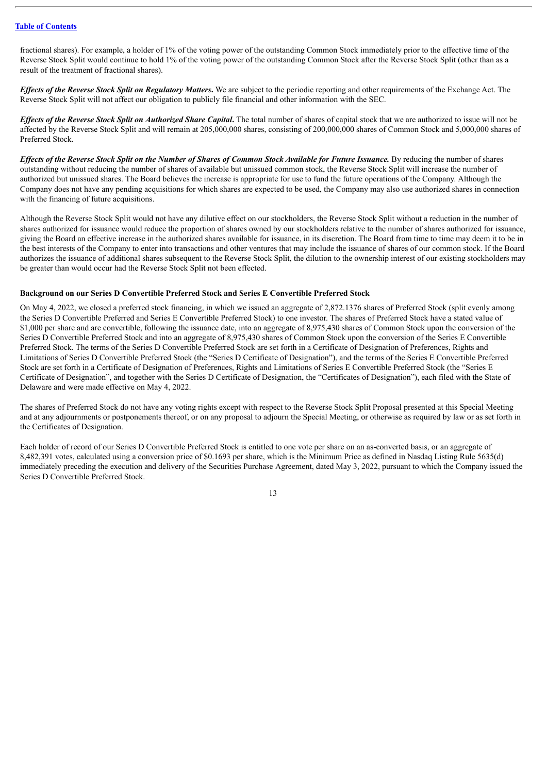fractional shares). For example, a holder of 1% of the voting power of the outstanding Common Stock immediately prior to the effective time of the Reverse Stock Split would continue to hold 1% of the voting power of the outstanding Common Stock after the Reverse Stock Split (other than as a result of the treatment of fractional shares).

*Ef ects of the Reverse Stock Split on Regulatory Matters***.** We are subject to the periodic reporting and other requirements of the Exchange Act. The Reverse Stock Split will not affect our obligation to publicly file financial and other information with the SEC.

Effects of the Reverse Stock Split on Authorized Share Capital. The total number of shares of capital stock that we are authorized to issue will not be affected by the Reverse Stock Split and will remain at 205,000,000 shares, consisting of 200,000,000 shares of Common Stock and 5,000,000 shares of Preferred Stock.

Effects of the Reverse Stock Split on the Number of Shares of Common Stock Available for Future Issuance. By reducing the number of shares outstanding without reducing the number of shares of available but unissued common stock, the Reverse Stock Split will increase the number of authorized but unissued shares. The Board believes the increase is appropriate for use to fund the future operations of the Company. Although the Company does not have any pending acquisitions for which shares are expected to be used, the Company may also use authorized shares in connection with the financing of future acquisitions.

Although the Reverse Stock Split would not have any dilutive effect on our stockholders, the Reverse Stock Split without a reduction in the number of shares authorized for issuance would reduce the proportion of shares owned by our stockholders relative to the number of shares authorized for issuance, giving the Board an effective increase in the authorized shares available for issuance, in its discretion. The Board from time to time may deem it to be in the best interests of the Company to enter into transactions and other ventures that may include the issuance of shares of our common stock. If the Board authorizes the issuance of additional shares subsequent to the Reverse Stock Split, the dilution to the ownership interest of our existing stockholders may be greater than would occur had the Reverse Stock Split not been effected.

#### <span id="page-16-0"></span>**Background on our Series D Convertible Preferred Stock and Series E Convertible Preferred Stock**

On May 4, 2022, we closed a preferred stock financing, in which we issued an aggregate of 2,872.1376 shares of Preferred Stock (split evenly among the Series D Convertible Preferred and Series E Convertible Preferred Stock) to one investor. The shares of Preferred Stock have a stated value of \$1,000 per share and are convertible, following the issuance date, into an aggregate of 8,975,430 shares of Common Stock upon the conversion of the Series D Convertible Preferred Stock and into an aggregate of 8,975,430 shares of Common Stock upon the conversion of the Series E Convertible Preferred Stock. The terms of the Series D Convertible Preferred Stock are set forth in a Certificate of Designation of Preferences, Rights and Limitations of Series D Convertible Preferred Stock (the "Series D Certificate of Designation"), and the terms of the Series E Convertible Preferred Stock are set forth in a Certificate of Designation of Preferences, Rights and Limitations of Series E Convertible Preferred Stock (the "Series E Certificate of Designation", and together with the Series D Certificate of Designation, the "Certificates of Designation"), each filed with the State of Delaware and were made effective on May 4, 2022.

The shares of Preferred Stock do not have any voting rights except with respect to the Reverse Stock Split Proposal presented at this Special Meeting and at any adjournments or postponements thereof, or on any proposal to adjourn the Special Meeting, or otherwise as required by law or as set forth in the Certificates of Designation.

Each holder of record of our Series D Convertible Preferred Stock is entitled to one vote per share on an as-converted basis, or an aggregate of 8,482,391 votes, calculated using a conversion price of \$0.1693 per share, which is the Minimum Price as defined in Nasdaq Listing Rule 5635(d) immediately preceding the execution and delivery of the Securities Purchase Agreement, dated May 3, 2022, pursuant to which the Company issued the Series D Convertible Preferred Stock.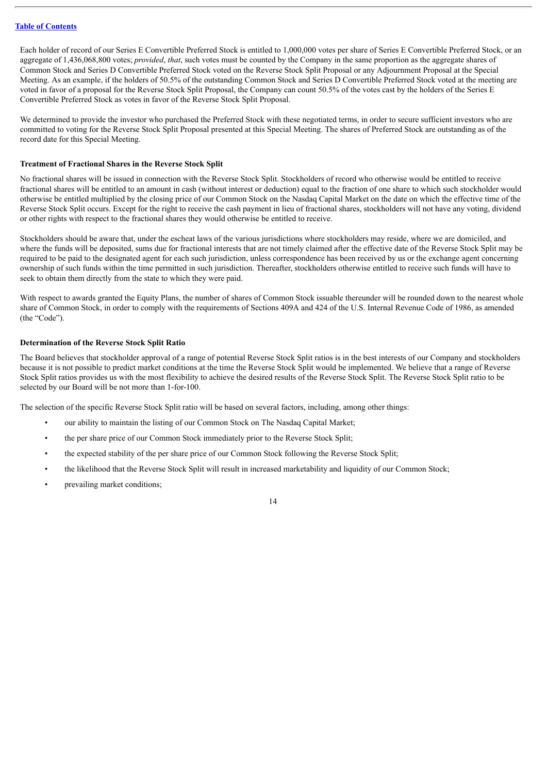Each holder of record of our Series E Convertible Preferred Stock is entitled to 1,000,000 votes per share of Series E Convertible Preferred Stock, or an aggregate of 1,436,068,800 votes; *provided*, *that*, such votes must be counted by the Company in the same proportion as the aggregate shares of Common Stock and Series D Convertible Preferred Stock voted on the Reverse Stock Split Proposal or any Adjournment Proposal at the Special Meeting. As an example, if the holders of 50.5% of the outstanding Common Stock and Series D Convertible Preferred Stock voted at the meeting are voted in favor of a proposal for the Reverse Stock Split Proposal, the Company can count 50.5% of the votes cast by the holders of the Series E Convertible Preferred Stock as votes in favor of the Reverse Stock Split Proposal.

We determined to provide the investor who purchased the Preferred Stock with these negotiated terms, in order to secure sufficient investors who are committed to voting for the Reverse Stock Split Proposal presented at this Special Meeting. The shares of Preferred Stock are outstanding as of the record date for this Special Meeting.

# <span id="page-17-0"></span>**Treatment of Fractional Shares in the Reverse Stock Split**

No fractional shares will be issued in connection with the Reverse Stock Split. Stockholders of record who otherwise would be entitled to receive fractional shares will be entitled to an amount in cash (without interest or deduction) equal to the fraction of one share to which such stockholder would otherwise be entitled multiplied by the closing price of our Common Stock on the Nasdaq Capital Market on the date on which the effective time of the Reverse Stock Split occurs. Except for the right to receive the cash payment in lieu of fractional shares, stockholders will not have any voting, dividend or other rights with respect to the fractional shares they would otherwise be entitled to receive.

Stockholders should be aware that, under the escheat laws of the various jurisdictions where stockholders may reside, where we are domiciled, and where the funds will be deposited, sums due for fractional interests that are not timely claimed after the effective date of the Reverse Stock Split may be required to be paid to the designated agent for each such jurisdiction, unless correspondence has been received by us or the exchange agent concerning ownership of such funds within the time permitted in such jurisdiction. Thereafter, stockholders otherwise entitled to receive such funds will have to seek to obtain them directly from the state to which they were paid.

With respect to awards granted the Equity Plans, the number of shares of Common Stock issuable thereunder will be rounded down to the nearest whole share of Common Stock, in order to comply with the requirements of Sections 409A and 424 of the U.S. Internal Revenue Code of 1986, as amended (the "Code").

# <span id="page-17-1"></span>**Determination of the Reverse Stock Split Ratio**

The Board believes that stockholder approval of a range of potential Reverse Stock Split ratios is in the best interests of our Company and stockholders because it is not possible to predict market conditions at the time the Reverse Stock Split would be implemented. We believe that a range of Reverse Stock Split ratios provides us with the most flexibility to achieve the desired results of the Reverse Stock Split. The Reverse Stock Split ratio to be selected by our Board will be not more than 1-for-100.

The selection of the specific Reverse Stock Split ratio will be based on several factors, including, among other things:

- our ability to maintain the listing of our Common Stock on The Nasdaq Capital Market;
- the per share price of our Common Stock immediately prior to the Reverse Stock Split;
- the expected stability of the per share price of our Common Stock following the Reverse Stock Split;
- the likelihood that the Reverse Stock Split will result in increased marketability and liquidity of our Common Stock;
- prevailing market conditions;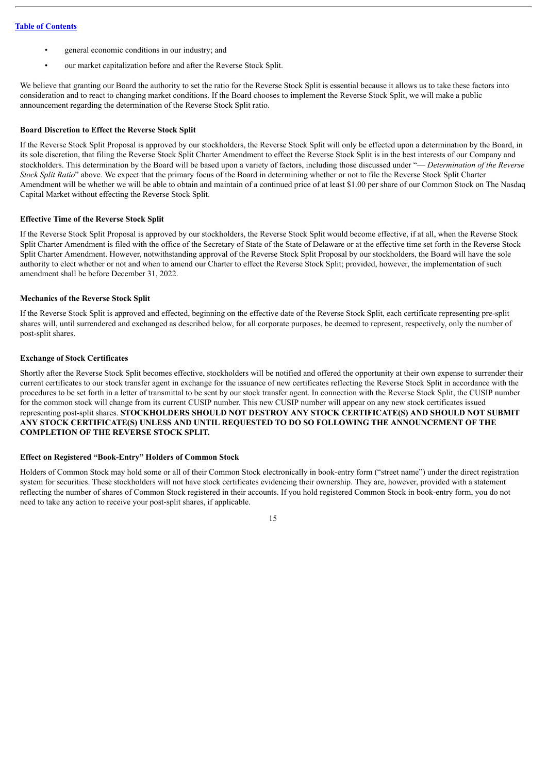- general economic conditions in our industry; and
- our market capitalization before and after the Reverse Stock Split.

We believe that granting our Board the authority to set the ratio for the Reverse Stock Split is essential because it allows us to take these factors into consideration and to react to changing market conditions. If the Board chooses to implement the Reverse Stock Split, we will make a public announcement regarding the determination of the Reverse Stock Split ratio.

# <span id="page-18-0"></span>**Board Discretion to Effect the Reverse Stock Split**

If the Reverse Stock Split Proposal is approved by our stockholders, the Reverse Stock Split will only be effected upon a determination by the Board, in its sole discretion, that filing the Reverse Stock Split Charter Amendment to effect the Reverse Stock Split is in the best interests of our Company and stockholders. This determination by the Board will be based upon a variety of factors, including those discussed under "— *Determination of the Reverse Stock Split Ratio*" above. We expect that the primary focus of the Board in determining whether or not to file the Reverse Stock Split Charter Amendment will be whether we will be able to obtain and maintain of a continued price of at least \$1.00 per share of our Common Stock on The Nasdaq Capital Market without effecting the Reverse Stock Split.

#### <span id="page-18-1"></span>**Effective Time of the Reverse Stock Split**

If the Reverse Stock Split Proposal is approved by our stockholders, the Reverse Stock Split would become effective, if at all, when the Reverse Stock Split Charter Amendment is filed with the office of the Secretary of State of the State of Delaware or at the effective time set forth in the Reverse Stock Split Charter Amendment. However, notwithstanding approval of the Reverse Stock Split Proposal by our stockholders, the Board will have the sole authority to elect whether or not and when to amend our Charter to effect the Reverse Stock Split; provided, however, the implementation of such amendment shall be before December 31, 2022.

#### <span id="page-18-2"></span>**Mechanics of the Reverse Stock Split**

If the Reverse Stock Split is approved and effected, beginning on the effective date of the Reverse Stock Split, each certificate representing pre-split shares will, until surrendered and exchanged as described below, for all corporate purposes, be deemed to represent, respectively, only the number of post-split shares.

#### <span id="page-18-3"></span>**Exchange of Stock Certificates**

Shortly after the Reverse Stock Split becomes effective, stockholders will be notified and offered the opportunity at their own expense to surrender their current certificates to our stock transfer agent in exchange for the issuance of new certificates reflecting the Reverse Stock Split in accordance with the procedures to be set forth in a letter of transmittal to be sent by our stock transfer agent. In connection with the Reverse Stock Split, the CUSIP number for the common stock will change from its current CUSIP number. This new CUSIP number will appear on any new stock certificates issued representing post-split shares. **STOCKHOLDERS SHOULD NOT DESTROY ANY STOCK CERTIFICATE(S) AND SHOULD NOT SUBMIT ANY STOCK CERTIFICATE(S) UNLESS AND UNTIL REQUESTED TO DO SO FOLLOWING THE ANNOUNCEMENT OF THE COMPLETION OF THE REVERSE STOCK SPLIT.**

# <span id="page-18-4"></span>**Effect on Registered "Book-Entry" Holders of Common Stock**

Holders of Common Stock may hold some or all of their Common Stock electronically in book-entry form ("street name") under the direct registration system for securities. These stockholders will not have stock certificates evidencing their ownership. They are, however, provided with a statement reflecting the number of shares of Common Stock registered in their accounts. If you hold registered Common Stock in book-entry form, you do not need to take any action to receive your post-split shares, if applicable.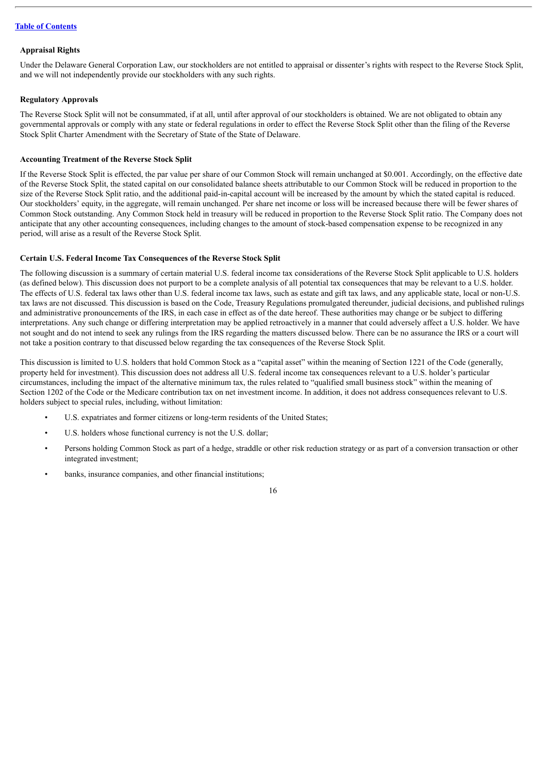#### <span id="page-19-0"></span>**Appraisal Rights**

Under the Delaware General Corporation Law, our stockholders are not entitled to appraisal or dissenter's rights with respect to the Reverse Stock Split, and we will not independently provide our stockholders with any such rights.

#### <span id="page-19-1"></span>**Regulatory Approvals**

The Reverse Stock Split will not be consummated, if at all, until after approval of our stockholders is obtained. We are not obligated to obtain any governmental approvals or comply with any state or federal regulations in order to effect the Reverse Stock Split other than the filing of the Reverse Stock Split Charter Amendment with the Secretary of State of the State of Delaware.

# <span id="page-19-2"></span>**Accounting Treatment of the Reverse Stock Split**

If the Reverse Stock Split is effected, the par value per share of our Common Stock will remain unchanged at \$0.001. Accordingly, on the effective date of the Reverse Stock Split, the stated capital on our consolidated balance sheets attributable to our Common Stock will be reduced in proportion to the size of the Reverse Stock Split ratio, and the additional paid-in-capital account will be increased by the amount by which the stated capital is reduced. Our stockholders' equity, in the aggregate, will remain unchanged. Per share net income or loss will be increased because there will be fewer shares of Common Stock outstanding. Any Common Stock held in treasury will be reduced in proportion to the Reverse Stock Split ratio. The Company does not anticipate that any other accounting consequences, including changes to the amount of stock-based compensation expense to be recognized in any period, will arise as a result of the Reverse Stock Split.

#### <span id="page-19-3"></span>**Certain U.S. Federal Income Tax Consequences of the Reverse Stock Split**

The following discussion is a summary of certain material U.S. federal income tax considerations of the Reverse Stock Split applicable to U.S. holders (as defined below). This discussion does not purport to be a complete analysis of all potential tax consequences that may be relevant to a U.S. holder. The effects of U.S. federal tax laws other than U.S. federal income tax laws, such as estate and gift tax laws, and any applicable state, local or non-U.S. tax laws are not discussed. This discussion is based on the Code, Treasury Regulations promulgated thereunder, judicial decisions, and published rulings and administrative pronouncements of the IRS, in each case in effect as of the date hereof. These authorities may change or be subject to differing interpretations. Any such change or differing interpretation may be applied retroactively in a manner that could adversely affect a U.S. holder. We have not sought and do not intend to seek any rulings from the IRS regarding the matters discussed below. There can be no assurance the IRS or a court will not take a position contrary to that discussed below regarding the tax consequences of the Reverse Stock Split.

This discussion is limited to U.S. holders that hold Common Stock as a "capital asset" within the meaning of Section 1221 of the Code (generally, property held for investment). This discussion does not address all U.S. federal income tax consequences relevant to a U.S. holder's particular circumstances, including the impact of the alternative minimum tax, the rules related to "qualified small business stock" within the meaning of Section 1202 of the Code or the Medicare contribution tax on net investment income. In addition, it does not address consequences relevant to U.S. holders subject to special rules, including, without limitation:

- U.S. expatriates and former citizens or long-term residents of the United States;
- U.S. holders whose functional currency is not the U.S. dollar;
- Persons holding Common Stock as part of a hedge, straddle or other risk reduction strategy or as part of a conversion transaction or other integrated investment;
- banks, insurance companies, and other financial institutions;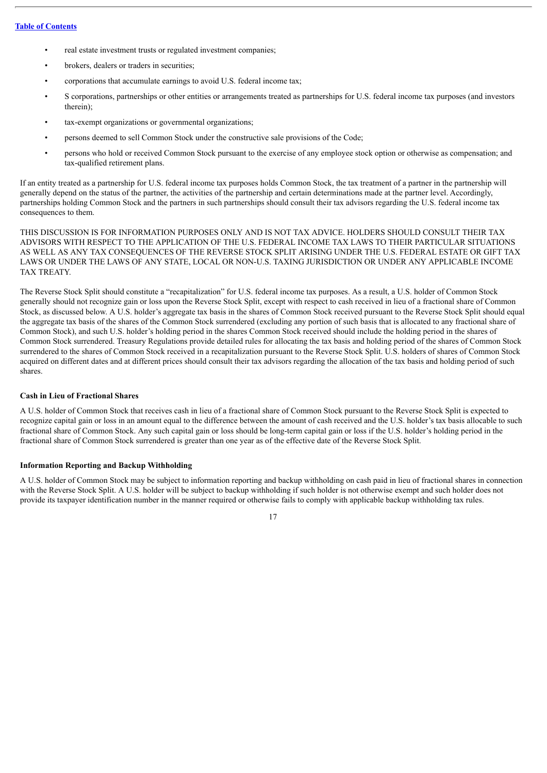- real estate investment trusts or regulated investment companies;
- brokers, dealers or traders in securities;
- corporations that accumulate earnings to avoid U.S. federal income tax;
- S corporations, partnerships or other entities or arrangements treated as partnerships for U.S. federal income tax purposes (and investors therein);
- tax-exempt organizations or governmental organizations;
- persons deemed to sell Common Stock under the constructive sale provisions of the Code;
- persons who hold or received Common Stock pursuant to the exercise of any employee stock option or otherwise as compensation; and tax-qualified retirement plans.

If an entity treated as a partnership for U.S. federal income tax purposes holds Common Stock, the tax treatment of a partner in the partnership will generally depend on the status of the partner, the activities of the partnership and certain determinations made at the partner level. Accordingly, partnerships holding Common Stock and the partners in such partnerships should consult their tax advisors regarding the U.S. federal income tax consequences to them.

THIS DISCUSSION IS FOR INFORMATION PURPOSES ONLY AND IS NOT TAX ADVICE. HOLDERS SHOULD CONSULT THEIR TAX ADVISORS WITH RESPECT TO THE APPLICATION OF THE U.S. FEDERAL INCOME TAX LAWS TO THEIR PARTICULAR SITUATIONS AS WELL AS ANY TAX CONSEQUENCES OF THE REVERSE STOCK SPLIT ARISING UNDER THE U.S. FEDERAL ESTATE OR GIFT TAX LAWS OR UNDER THE LAWS OF ANY STATE, LOCAL OR NON-U.S. TAXING JURISDICTION OR UNDER ANY APPLICABLE INCOME TAX TREATY.

The Reverse Stock Split should constitute a "recapitalization" for U.S. federal income tax purposes. As a result, a U.S. holder of Common Stock generally should not recognize gain or loss upon the Reverse Stock Split, except with respect to cash received in lieu of a fractional share of Common Stock, as discussed below. A U.S. holder's aggregate tax basis in the shares of Common Stock received pursuant to the Reverse Stock Split should equal the aggregate tax basis of the shares of the Common Stock surrendered (excluding any portion of such basis that is allocated to any fractional share of Common Stock), and such U.S. holder's holding period in the shares Common Stock received should include the holding period in the shares of Common Stock surrendered. Treasury Regulations provide detailed rules for allocating the tax basis and holding period of the shares of Common Stock surrendered to the shares of Common Stock received in a recapitalization pursuant to the Reverse Stock Split. U.S. holders of shares of Common Stock acquired on different dates and at different prices should consult their tax advisors regarding the allocation of the tax basis and holding period of such shares.

# <span id="page-20-0"></span>**Cash in Lieu of Fractional Shares**

A U.S. holder of Common Stock that receives cash in lieu of a fractional share of Common Stock pursuant to the Reverse Stock Split is expected to recognize capital gain or loss in an amount equal to the difference between the amount of cash received and the U.S. holder's tax basis allocable to such fractional share of Common Stock. Any such capital gain or loss should be long-term capital gain or loss if the U.S. holder's holding period in the fractional share of Common Stock surrendered is greater than one year as of the effective date of the Reverse Stock Split.

#### <span id="page-20-1"></span>**Information Reporting and Backup Withholding**

A U.S. holder of Common Stock may be subject to information reporting and backup withholding on cash paid in lieu of fractional shares in connection with the Reverse Stock Split. A U.S. holder will be subject to backup withholding if such holder is not otherwise exempt and such holder does not provide its taxpayer identification number in the manner required or otherwise fails to comply with applicable backup withholding tax rules.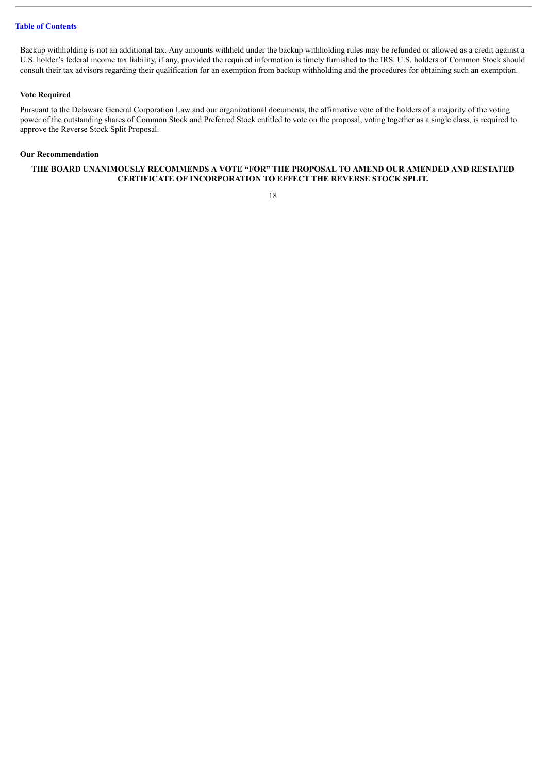Backup withholding is not an additional tax. Any amounts withheld under the backup withholding rules may be refunded or allowed as a credit against a U.S. holder's federal income tax liability, if any, provided the required information is timely furnished to the IRS. U.S. holders of Common Stock should consult their tax advisors regarding their qualification for an exemption from backup withholding and the procedures for obtaining such an exemption.

# <span id="page-21-0"></span>**Vote Required**

Pursuant to the Delaware General Corporation Law and our organizational documents, the affirmative vote of the holders of a majority of the voting power of the outstanding shares of Common Stock and Preferred Stock entitled to vote on the proposal, voting together as a single class, is required to approve the Reverse Stock Split Proposal.

#### <span id="page-21-1"></span>**Our Recommendation**

# **THE BOARD UNANIMOUSLY RECOMMENDS A VOTE "FOR" THE PROPOSAL TO AMEND OUR AMENDED AND RESTATED CERTIFICATE OF INCORPORATION TO EFFECT THE REVERSE STOCK SPLIT.**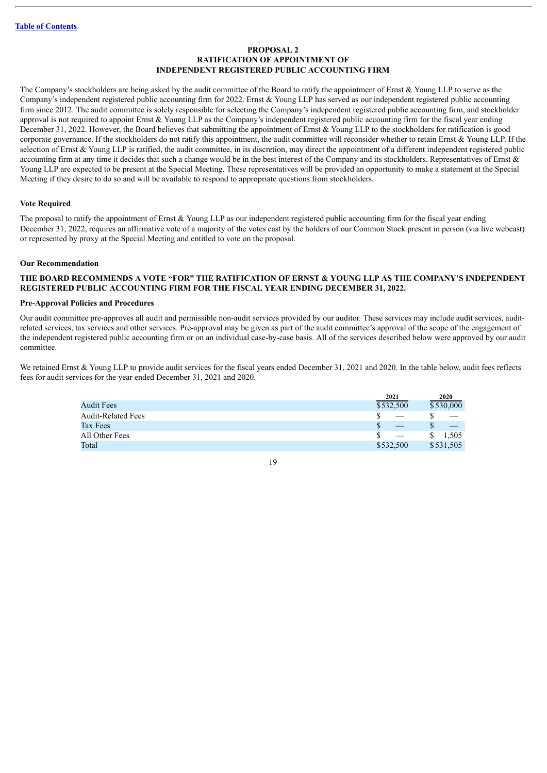# **PROPOSAL 2 RATIFICATION OF APPOINTMENT OF INDEPENDENT REGISTERED PUBLIC ACCOUNTING FIRM**

<span id="page-22-0"></span>The Company's stockholders are being asked by the audit committee of the Board to ratify the appointment of Ernst & Young LLP to serve as the Company's independent registered public accounting firm for 2022. Ernst & Young LLP has served as our independent registered public accounting firm since 2012. The audit committee is solely responsible for selecting the Company's independent registered public accounting firm, and stockholder approval is not required to appoint Ernst  $&$  Young LLP as the Company's independent registered public accounting firm for the fiscal year ending December 31, 2022. However, the Board believes that submitting the appointment of Ernst & Young LLP to the stockholders for ratification is good corporate governance. If the stockholders do not ratify this appointment, the audit committee will reconsider whether to retain Ernst & Young LLP. If the selection of Ernst  $\&$  Young LLP is ratified, the audit committee, in its discretion, may direct the appointment of a different independent registered public accounting firm at any time it decides that such a change would be in the best interest of the Company and its stockholders. Representatives of Ernst  $\&$ Young LLP are expected to be present at the Special Meeting. These representatives will be provided an opportunity to make a statement at the Special Meeting if they desire to do so and will be available to respond to appropriate questions from stockholders.

#### <span id="page-22-1"></span>**Vote Required**

The proposal to ratify the appointment of Ernst & Young LLP as our independent registered public accounting firm for the fiscal year ending December 31, 2022, requires an affirmative vote of a majority of the votes cast by the holders of our Common Stock present in person (via live webcast) or represented by proxy at the Special Meeting and entitled to vote on the proposal.

#### <span id="page-22-2"></span>**Our Recommendation**

# **THE BOARD RECOMMENDS A VOTE "FOR" THE RATIFICATION OF ERNST & YOUNG LLP AS THE COMPANY'S INDEPENDENT REGISTERED PUBLIC ACCOUNTING FIRM FOR THE FISCAL YEAR ENDING DECEMBER 31, 2022.**

#### <span id="page-22-3"></span>**Pre-Approval Policies and Procedures**

Our audit committee pre-approves all audit and permissible non-audit services provided by our auditor. These services may include audit services, auditrelated services, tax services and other services. Pre-approval may be given as part of the audit committee's approval of the scope of the engagement of the independent registered public accounting firm or on an individual case-by-case basis. All of the services described below were approved by our audit committee.

We retained Ernst & Young LLP to provide audit services for the fiscal years ended December 31, 2021 and 2020. In the table below, audit fees reflects fees for audit services for the year ended December 31, 2021 and 2020.

|                           | 2021      | 2020      |
|---------------------------|-----------|-----------|
| <b>Audit Fees</b>         | \$532,500 | \$530,000 |
| <b>Audit-Related Fees</b> |           |           |
| Tax Fees                  |           |           |
| All Other Fees            |           | 1.505     |
| Total                     | \$532,500 | \$531,505 |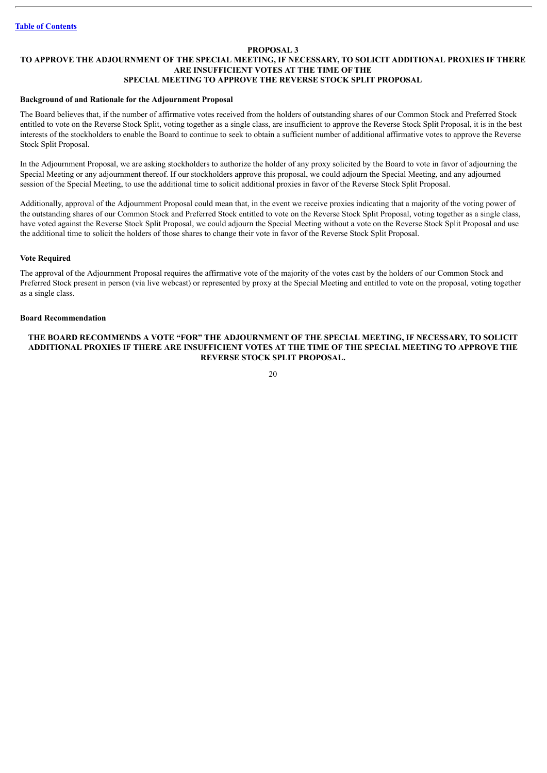#### **PROPOSAL 3**

#### <span id="page-23-0"></span>**TO APPROVE THE ADJOURNMENT OF THE SPECIAL MEETING, IF NECESSARY, TO SOLICIT ADDITIONAL PROXIES IF THERE ARE INSUFFICIENT VOTES AT THE TIME OF THE SPECIAL MEETING TO APPROVE THE REVERSE STOCK SPLIT PROPOSAL**

#### <span id="page-23-1"></span>**Background of and Rationale for the Adjournment Proposal**

The Board believes that, if the number of affirmative votes received from the holders of outstanding shares of our Common Stock and Preferred Stock entitled to vote on the Reverse Stock Split, voting together as a single class, are insufficient to approve the Reverse Stock Split Proposal, it is in the best interests of the stockholders to enable the Board to continue to seek to obtain a sufficient number of additional affirmative votes to approve the Reverse Stock Split Proposal.

In the Adjournment Proposal, we are asking stockholders to authorize the holder of any proxy solicited by the Board to vote in favor of adjourning the Special Meeting or any adjournment thereof. If our stockholders approve this proposal, we could adjourn the Special Meeting, and any adjourned session of the Special Meeting, to use the additional time to solicit additional proxies in favor of the Reverse Stock Split Proposal.

Additionally, approval of the Adjournment Proposal could mean that, in the event we receive proxies indicating that a majority of the voting power of the outstanding shares of our Common Stock and Preferred Stock entitled to vote on the Reverse Stock Split Proposal, voting together as a single class, have voted against the Reverse Stock Split Proposal, we could adjourn the Special Meeting without a vote on the Reverse Stock Split Proposal and use the additional time to solicit the holders of those shares to change their vote in favor of the Reverse Stock Split Proposal.

## <span id="page-23-2"></span>**Vote Required**

The approval of the Adjournment Proposal requires the affirmative vote of the majority of the votes cast by the holders of our Common Stock and Preferred Stock present in person (via live webcast) or represented by proxy at the Special Meeting and entitled to vote on the proposal, voting together as a single class.

# <span id="page-23-3"></span>**Board Recommendation**

# **THE BOARD RECOMMENDS A VOTE "FOR" THE ADJOURNMENT OF THE SPECIAL MEETING, IF NECESSARY, TO SOLICIT ADDITIONAL PROXIES IF THERE ARE INSUFFICIENT VOTES AT THE TIME OF THE SPECIAL MEETING TO APPROVE THE REVERSE STOCK SPLIT PROPOSAL.**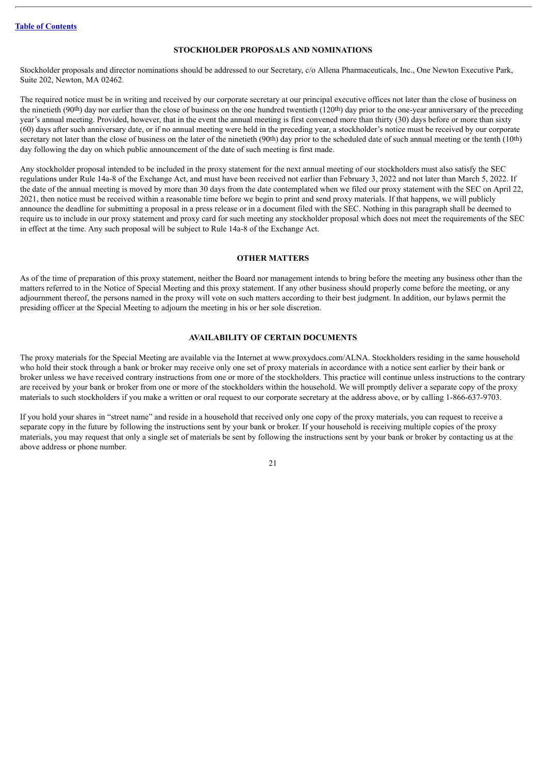# **STOCKHOLDER PROPOSALS AND NOMINATIONS**

<span id="page-24-0"></span>Stockholder proposals and director nominations should be addressed to our Secretary, c/o Allena Pharmaceuticals, Inc., One Newton Executive Park, Suite 202, Newton, MA 02462.

The required notice must be in writing and received by our corporate secretary at our principal executive offices not later than the close of business on the ninetieth (90th) day nor earlier than the close of business on the one hundred twentieth (120th) day prior to the one-year anniversary of the preceding year's annual meeting. Provided, however, that in the event the annual meeting is first convened more than thirty (30) days before or more than sixty (60) days after such anniversary date, or if no annual meeting were held in the preceding year, a stockholder's notice must be received by our corporate secretary not later than the close of business on the later of the ninetieth  $(90th)$  day prior to the scheduled date of such annual meeting or the tenth  $(10th)$ day following the day on which public announcement of the date of such meeting is first made.

Any stockholder proposal intended to be included in the proxy statement for the next annual meeting of our stockholders must also satisfy the SEC regulations under Rule 14a-8 of the Exchange Act, and must have been received not earlier than February 3, 2022 and not later than March 5, 2022. If the date of the annual meeting is moved by more than 30 days from the date contemplated when we filed our proxy statement with the SEC on April 22, 2021, then notice must be received within a reasonable time before we begin to print and send proxy materials. If that happens, we will publicly announce the deadline for submitting a proposal in a press release or in a document filed with the SEC. Nothing in this paragraph shall be deemed to require us to include in our proxy statement and proxy card for such meeting any stockholder proposal which does not meet the requirements of the SEC in effect at the time. Any such proposal will be subject to Rule 14a-8 of the Exchange Act.

# **OTHER MATTERS**

<span id="page-24-1"></span>As of the time of preparation of this proxy statement, neither the Board nor management intends to bring before the meeting any business other than the matters referred to in the Notice of Special Meeting and this proxy statement. If any other business should properly come before the meeting, or any adjournment thereof, the persons named in the proxy will vote on such matters according to their best judgment. In addition, our bylaws permit the presiding officer at the Special Meeting to adjourn the meeting in his or her sole discretion.

# **AVAILABILITY OF CERTAIN DOCUMENTS**

<span id="page-24-2"></span>The proxy materials for the Special Meeting are available via the Internet at www.proxydocs.com/ALNA. Stockholders residing in the same household who hold their stock through a bank or broker may receive only one set of proxy materials in accordance with a notice sent earlier by their bank or broker unless we have received contrary instructions from one or more of the stockholders. This practice will continue unless instructions to the contrary are received by your bank or broker from one or more of the stockholders within the household. We will promptly deliver a separate copy of the proxy materials to such stockholders if you make a written or oral request to our corporate secretary at the address above, or by calling 1-866-637-9703.

If you hold your shares in "street name" and reside in a household that received only one copy of the proxy materials, you can request to receive a separate copy in the future by following the instructions sent by your bank or broker. If your household is receiving multiple copies of the proxy materials, you may request that only a single set of materials be sent by following the instructions sent by your bank or broker by contacting us at the above address or phone number.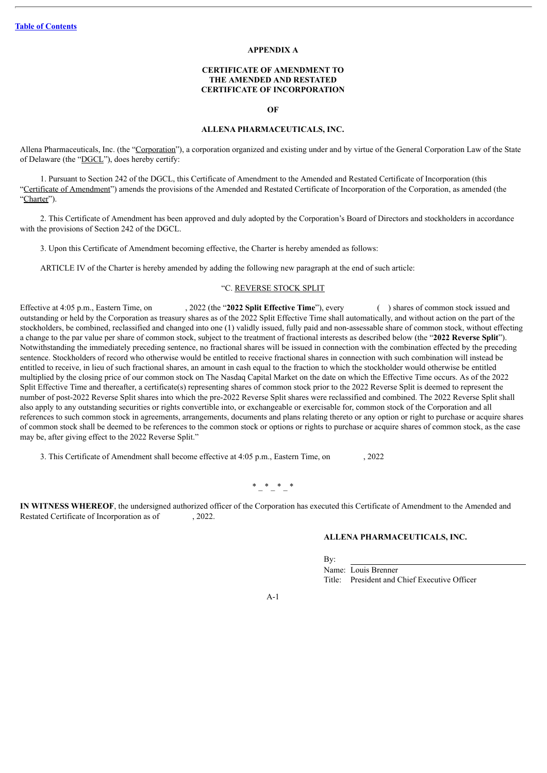# **APPENDIX A**

#### **CERTIFICATE OF AMENDMENT TO THE AMENDED AND RESTATED CERTIFICATE OF INCORPORATION**

#### **OF**

# **ALLENA PHARMACEUTICALS, INC.**

<span id="page-25-0"></span>Allena Pharmaceuticals, Inc. (the "Corporation"), a corporation organized and existing under and by virtue of the General Corporation Law of the State of Delaware (the "DGCL"), does hereby certify:

1. Pursuant to Section 242 of the DGCL, this Certificate of Amendment to the Amended and Restated Certificate of Incorporation (this "Certificate of Amendment") amends the provisions of the Amended and Restated Certificate of Incorporation of the Corporation, as amended (the "Charter").

2. This Certificate of Amendment has been approved and duly adopted by the Corporation's Board of Directors and stockholders in accordance with the provisions of Section 242 of the DGCL.

3. Upon this Certificate of Amendment becoming effective, the Charter is hereby amended as follows:

ARTICLE IV of the Charter is hereby amended by adding the following new paragraph at the end of such article:

#### "C. REVERSE STOCK SPLIT

Effective at 4:05 p.m., Eastern Time, on , 2022 (the "**2022 Split Effective Time**"), every ( ) shares of common stock issued and outstanding or held by the Corporation as treasury shares as of the 2022 Split Effective Time shall automatically, and without action on the part of the stockholders, be combined, reclassified and changed into one (1) validly issued, fully paid and non-assessable share of common stock, without effecting a change to the par value per share of common stock, subject to the treatment of fractional interests as described below (the "**2022 Reverse Split**"). Notwithstanding the immediately preceding sentence, no fractional shares will be issued in connection with the combination effected by the preceding sentence. Stockholders of record who otherwise would be entitled to receive fractional shares in connection with such combination will instead be entitled to receive, in lieu of such fractional shares, an amount in cash equal to the fraction to which the stockholder would otherwise be entitled multiplied by the closing price of our common stock on The Nasdaq Capital Market on the date on which the Effective Time occurs. As of the 2022 Split Effective Time and thereafter, a certificate(s) representing shares of common stock prior to the 2022 Reverse Split is deemed to represent the number of post-2022 Reverse Split shares into which the pre-2022 Reverse Split shares were reclassified and combined. The 2022 Reverse Split shall also apply to any outstanding securities or rights convertible into, or exchangeable or exercisable for, common stock of the Corporation and all references to such common stock in agreements, arrangements, documents and plans relating thereto or any option or right to purchase or acquire shares of common stock shall be deemed to be references to the common stock or options or rights to purchase or acquire shares of common stock, as the case may be, after giving effect to the 2022 Reverse Split."

3. This Certificate of Amendment shall become effective at 4:05 p.m., Eastern Time, on , 2022

# $* - * - * - *$

**IN WITNESS WHEREOF**, the undersigned authorized officer of the Corporation has executed this Certificate of Amendment to the Amended and Restated Certificate of Incorporation as of , 2022.

# **ALLENA PHARMACEUTICALS, INC.**

By:

Name: Louis Brenner Title: President and Chief Executive Officer

A-1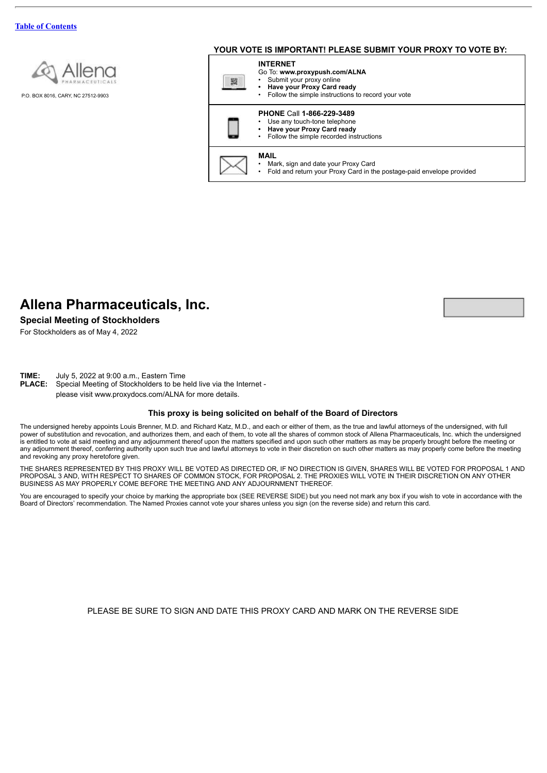

P.O. BOX 8016, CARY, NC 27512-9903

# **YOUR VOTE IS IMPORTANT! PLEASE SUBMIT YOUR PROXY TO VOTE BY:**



# **Allena Pharmaceuticals, Inc.**

**Special Meeting of Stockholders**

For Stockholders as of May 4, 2022

**TIME:** July 5, 2022 at 9:00 a.m., Eastern Time

**PLACE:** Special Meeting of Stockholders to be held live via the Internet please visit www.proxydocs.com/ALNA for more details.

#### **This proxy is being solicited on behalf of the Board of Directors**

The undersigned hereby appoints Louis Brenner, M.D. and Richard Katz, M.D., and each or either of them, as the true and lawful attorneys of the undersigned, with full power of substitution and revocation, and authorizes them, and each of them, to vote all the shares of common stock of Allena Pharmaceuticals, Inc. which the undersigned is entitled to vote at said meeting and any adjournment thereof upon the matters specified and upon such other matters as may be properly brought before the meeting or any adjournment thereof, conferring authority upon such true and lawful attorneys to vote in their discretion on such other matters as may properly come before the meeting and revoking any proxy heretofore given.

THE SHARES REPRESENTED BY THIS PROXY WILL BE VOTED AS DIRECTED OR, IF NO DIRECTION IS GIVEN, SHARES WILL BE VOTED FOR PROPOSAL 1 AND PROPOSAL 3 AND, WITH RESPECT TO SHARES OF COMMON STOCK, FOR PROPOSAL 2. THE PROXIES WILL VOTE IN THEIR DISCRETION ON ANY OTHER BUSINESS AS MAY PROPERLY COME BEFORE THE MEETING AND ANY ADJOURNMENT THEREOF.

You are encouraged to specify your choice by marking the appropriate box (SEE REVERSE SIDE) but you need not mark any box if you wish to vote in accordance with the Board of Directors' recommendation. The Named Proxies cannot vote your shares unless you sign (on the reverse side) and return this card.

PLEASE BE SURE TO SIGN AND DATE THIS PROXY CARD AND MARK ON THE REVERSE SIDE